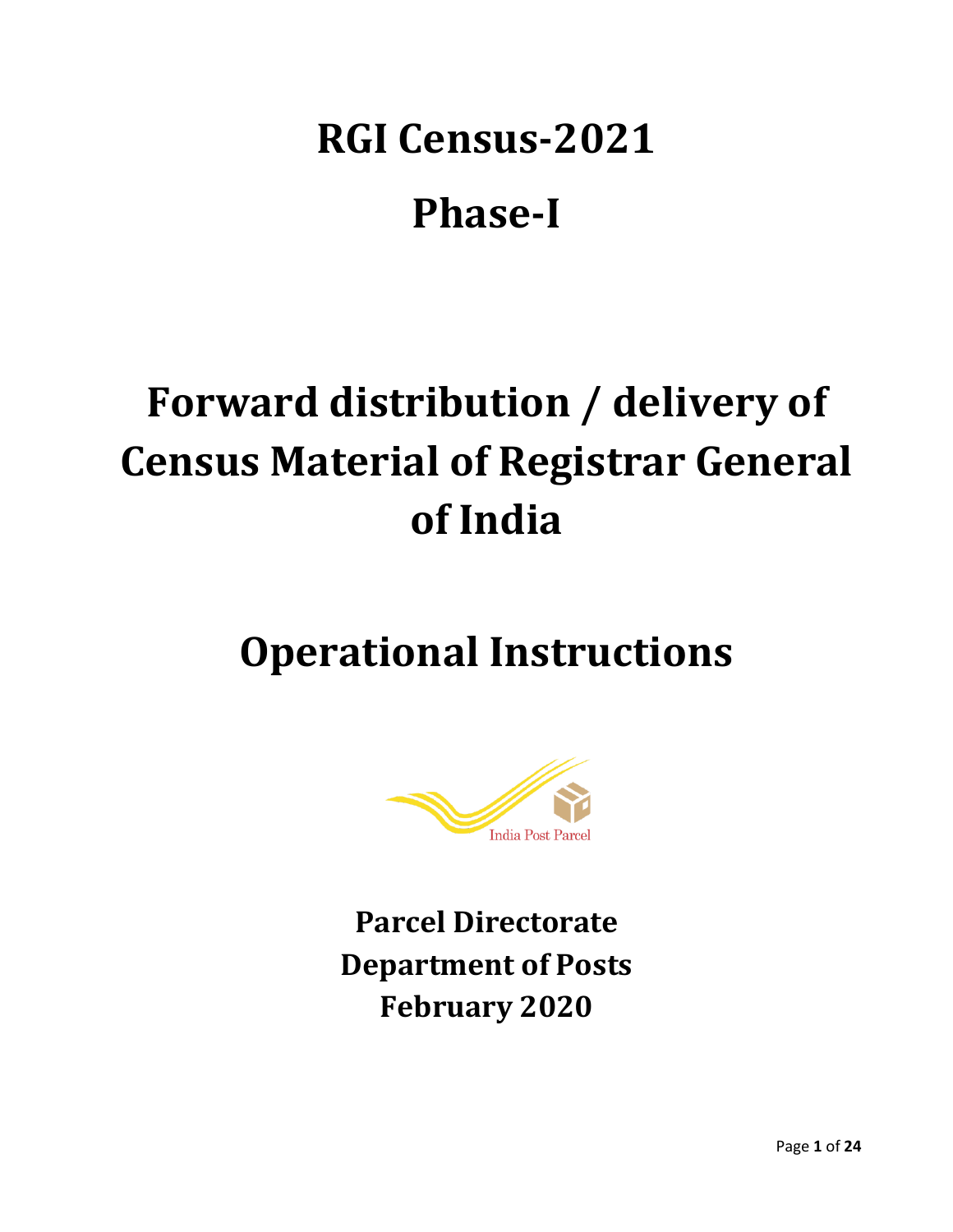# **RGI Census-2021 Phase-I**

# **Forward distribution / delivery of Census Material of Registrar General of India**

## **Operational Instructions**



**Parcel Directorate Department of Posts February 2020**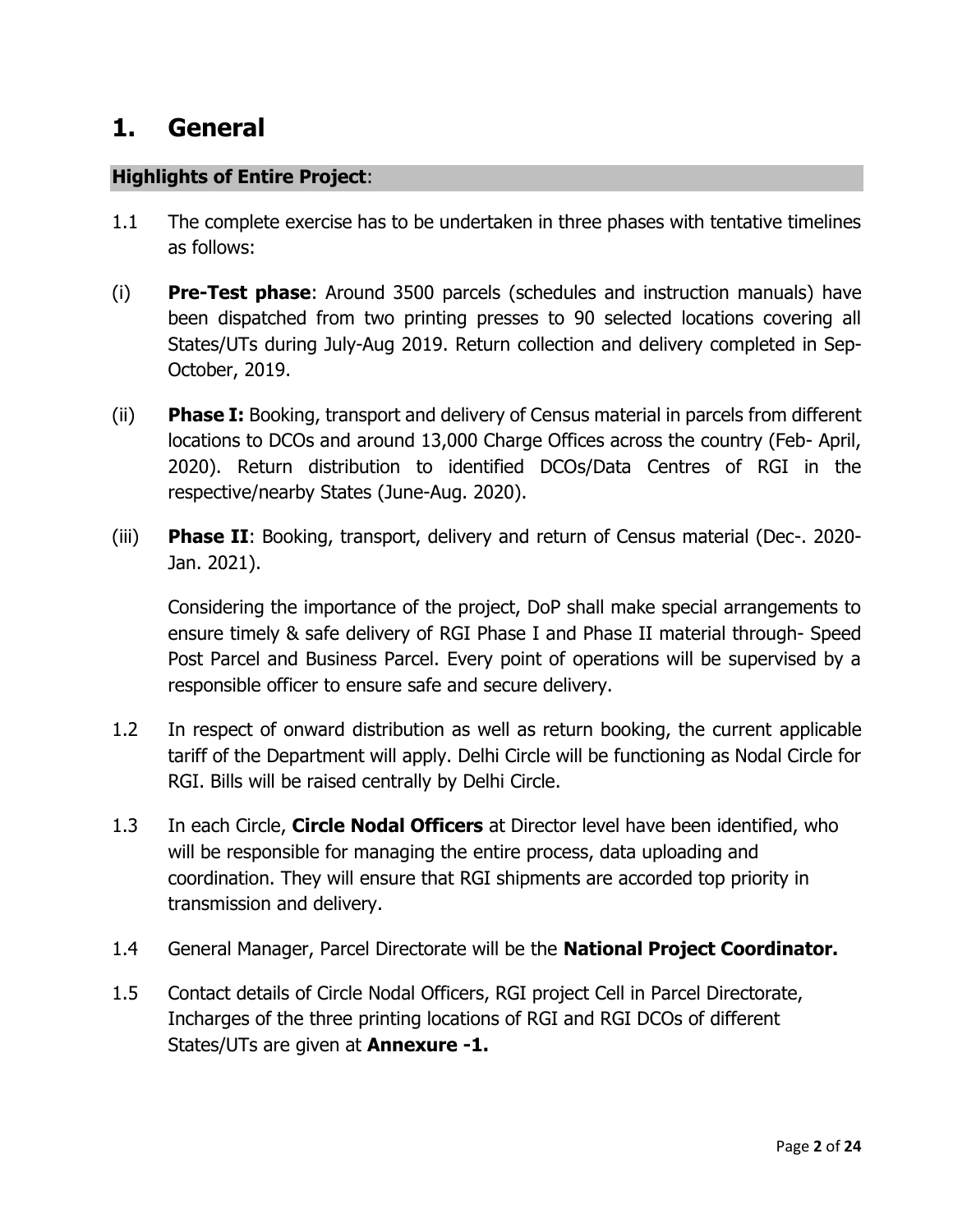## **1. General**

#### **Highlights of Entire Project**:

- 1.1 The complete exercise has to be undertaken in three phases with tentative timelines as follows:
- (i) **Pre-Test phase**: Around 3500 parcels (schedules and instruction manuals) have been dispatched from two printing presses to 90 selected locations covering all States/UTs during July-Aug 2019. Return collection and delivery completed in Sep-October, 2019.
- (ii) **Phase I:** Booking, transport and delivery of Census material in parcels from different locations to DCOs and around 13,000 Charge Offices across the country (Feb- April, 2020). Return distribution to identified DCOs/Data Centres of RGI in the respective/nearby States (June-Aug. 2020).
- (iii) **Phase II**: Booking, transport, delivery and return of Census material (Dec-. 2020- Jan. 2021).

Considering the importance of the project, DoP shall make special arrangements to ensure timely & safe delivery of RGI Phase I and Phase II material through- Speed Post Parcel and Business Parcel. Every point of operations will be supervised by a responsible officer to ensure safe and secure delivery.

- 1.2 In respect of onward distribution as well as return booking, the current applicable tariff of the Department will apply. Delhi Circle will be functioning as Nodal Circle for RGI. Bills will be raised centrally by Delhi Circle.
- 1.3 In each Circle, **Circle Nodal Officers** at Director level have been identified, who will be responsible for managing the entire process, data uploading and coordination. They will ensure that RGI shipments are accorded top priority in transmission and delivery.
- 1.4 General Manager, Parcel Directorate will be the **National Project Coordinator.**
- 1.5 Contact details of Circle Nodal Officers, RGI project Cell in Parcel Directorate, Incharges of the three printing locations of RGI and RGI DCOs of different States/UTs are given at **Annexure -1.**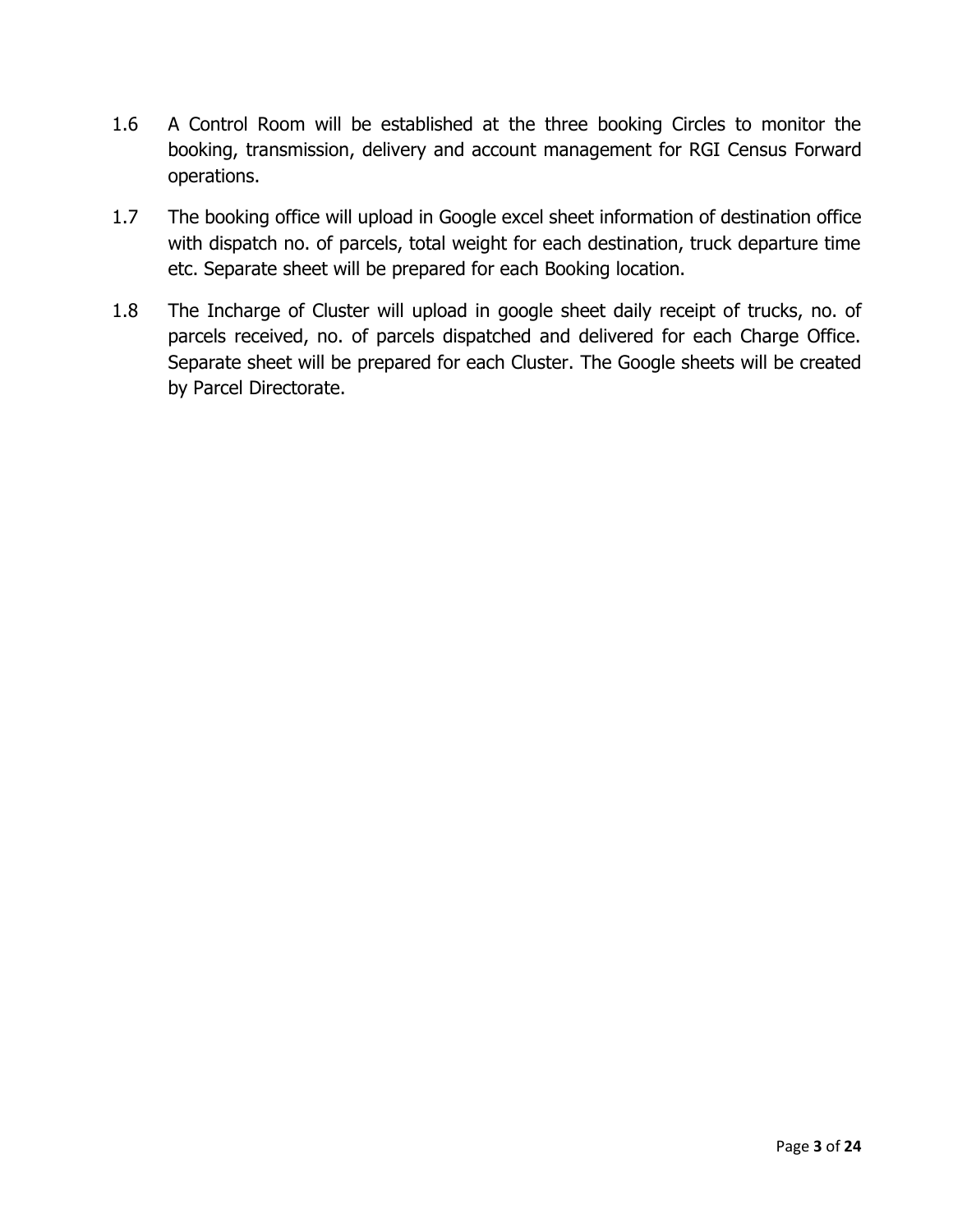- 1.6 A Control Room will be established at the three booking Circles to monitor the booking, transmission, delivery and account management for RGI Census Forward operations.
- 1.7 The booking office will upload in Google excel sheet information of destination office with dispatch no. of parcels, total weight for each destination, truck departure time etc. Separate sheet will be prepared for each Booking location.
- 1.8 The Incharge of Cluster will upload in google sheet daily receipt of trucks, no. of parcels received, no. of parcels dispatched and delivered for each Charge Office. Separate sheet will be prepared for each Cluster. The Google sheets will be created by Parcel Directorate.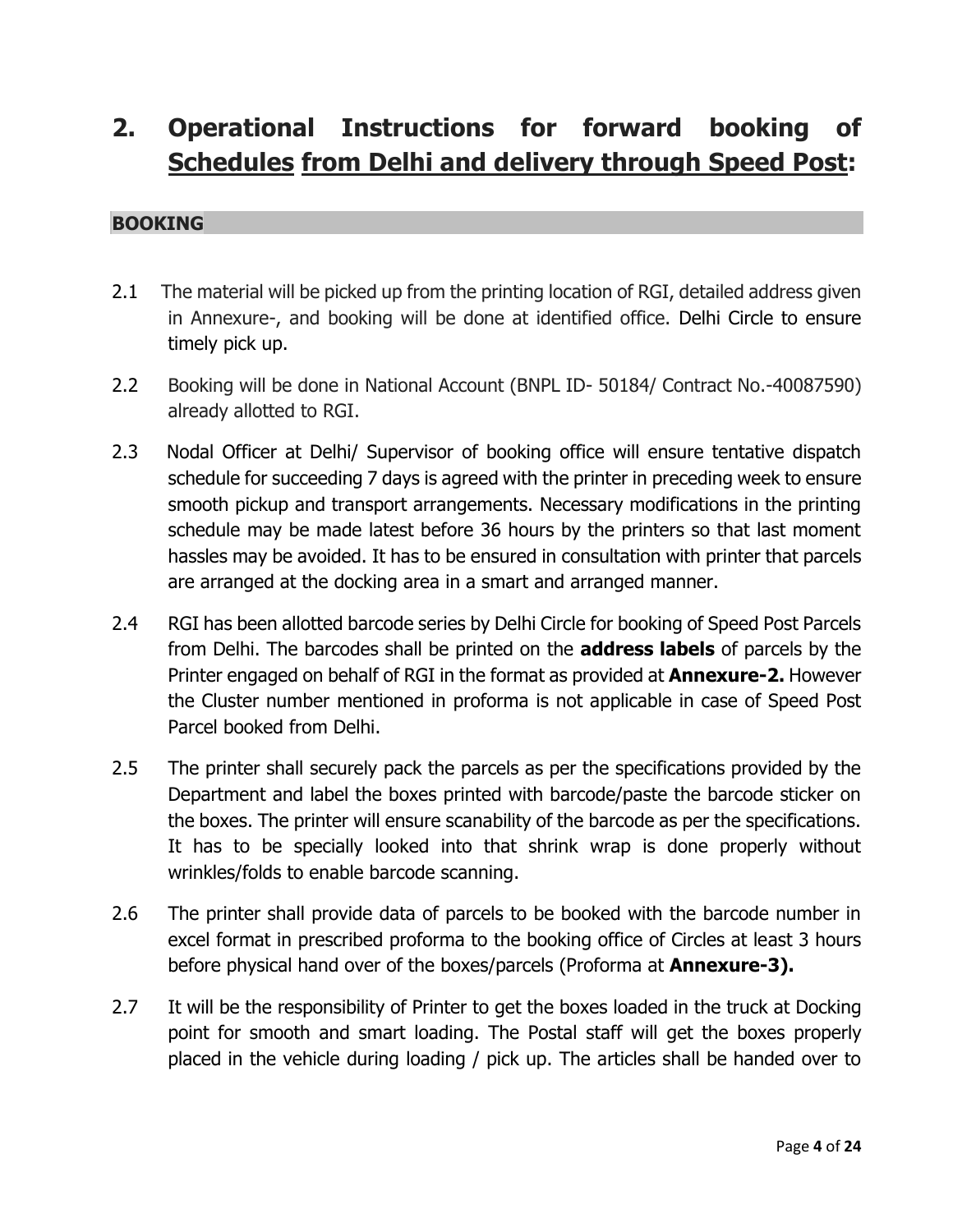## **2. Operational Instructions for forward booking of Schedules from Delhi and delivery through Speed Post:**

#### **BOOKING**

- 2.1 The material will be picked up from the printing location of RGI, detailed address given in Annexure-, and booking will be done at identified office. Delhi Circle to ensure timely pick up.
- 2.2 Booking will be done in National Account (BNPL ID- 50184/ Contract No.-40087590) already allotted to RGI.
- 2.3 Nodal Officer at Delhi/ Supervisor of booking office will ensure tentative dispatch schedule for succeeding 7 days is agreed with the printer in preceding week to ensure smooth pickup and transport arrangements. Necessary modifications in the printing schedule may be made latest before 36 hours by the printers so that last moment hassles may be avoided. It has to be ensured in consultation with printer that parcels are arranged at the docking area in a smart and arranged manner.
- 2.4 RGI has been allotted barcode series by Delhi Circle for booking of Speed Post Parcels from Delhi. The barcodes shall be printed on the **address labels** of parcels by the Printer engaged on behalf of RGI in the format as provided at **Annexure-2.** However the Cluster number mentioned in proforma is not applicable in case of Speed Post Parcel booked from Delhi.
- 2.5 The printer shall securely pack the parcels as per the specifications provided by the Department and label the boxes printed with barcode/paste the barcode sticker on the boxes. The printer will ensure scanability of the barcode as per the specifications. It has to be specially looked into that shrink wrap is done properly without wrinkles/folds to enable barcode scanning.
- 2.6 The printer shall provide data of parcels to be booked with the barcode number in excel format in prescribed proforma to the booking office of Circles at least 3 hours before physical hand over of the boxes/parcels (Proforma at **Annexure-3).**
- 2.7 It will be the responsibility of Printer to get the boxes loaded in the truck at Docking point for smooth and smart loading. The Postal staff will get the boxes properly placed in the vehicle during loading / pick up. The articles shall be handed over to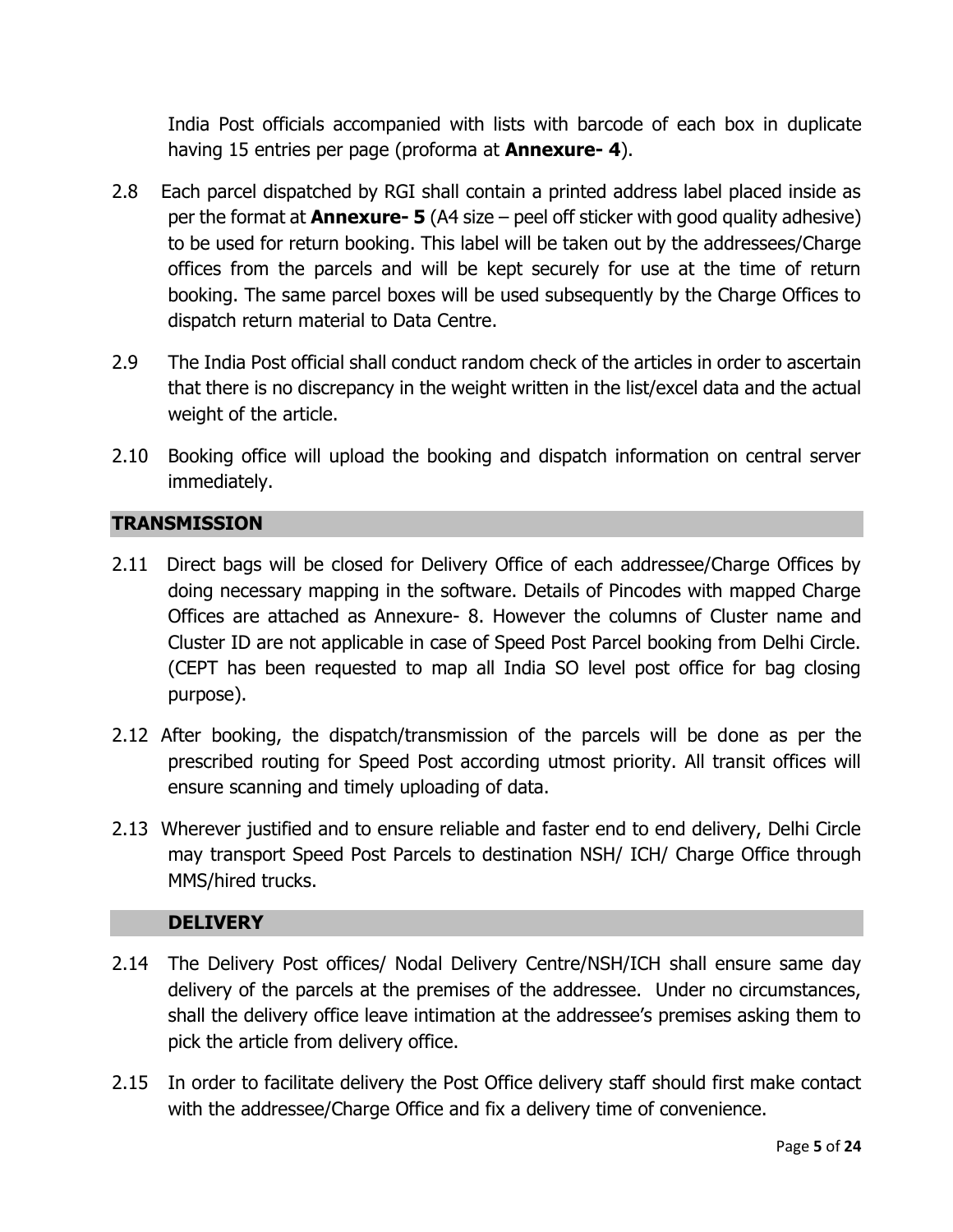India Post officials accompanied with lists with barcode of each box in duplicate having 15 entries per page (proforma at **Annexure- 4**).

- 2.8 Each parcel dispatched by RGI shall contain a printed address label placed inside as per the format at **Annexure- 5** (A4 size – peel off sticker with good quality adhesive) to be used for return booking. This label will be taken out by the addressees/Charge offices from the parcels and will be kept securely for use at the time of return booking. The same parcel boxes will be used subsequently by the Charge Offices to dispatch return material to Data Centre.
- 2.9 The India Post official shall conduct random check of the articles in order to ascertain that there is no discrepancy in the weight written in the list/excel data and the actual weight of the article.
- 2.10 Booking office will upload the booking and dispatch information on central server immediately.

#### **TRANSMISSION**

- 2.11 Direct bags will be closed for Delivery Office of each addressee/Charge Offices by doing necessary mapping in the software. Details of Pincodes with mapped Charge Offices are attached as Annexure- 8. However the columns of Cluster name and Cluster ID are not applicable in case of Speed Post Parcel booking from Delhi Circle. (CEPT has been requested to map all India SO level post office for bag closing purpose).
- 2.12 After booking, the dispatch/transmission of the parcels will be done as per the prescribed routing for Speed Post according utmost priority. All transit offices will ensure scanning and timely uploading of data.
- 2.13 Wherever justified and to ensure reliable and faster end to end delivery, Delhi Circle may transport Speed Post Parcels to destination NSH/ ICH/ Charge Office through MMS/hired trucks.

#### **DELIVERY**

- 2.14 The Delivery Post offices/ Nodal Delivery Centre/NSH/ICH shall ensure same day delivery of the parcels at the premises of the addressee. Under no circumstances, shall the delivery office leave intimation at the addressee's premises asking them to pick the article from delivery office.
- 2.15 In order to facilitate delivery the Post Office delivery staff should first make contact with the addressee/Charge Office and fix a delivery time of convenience.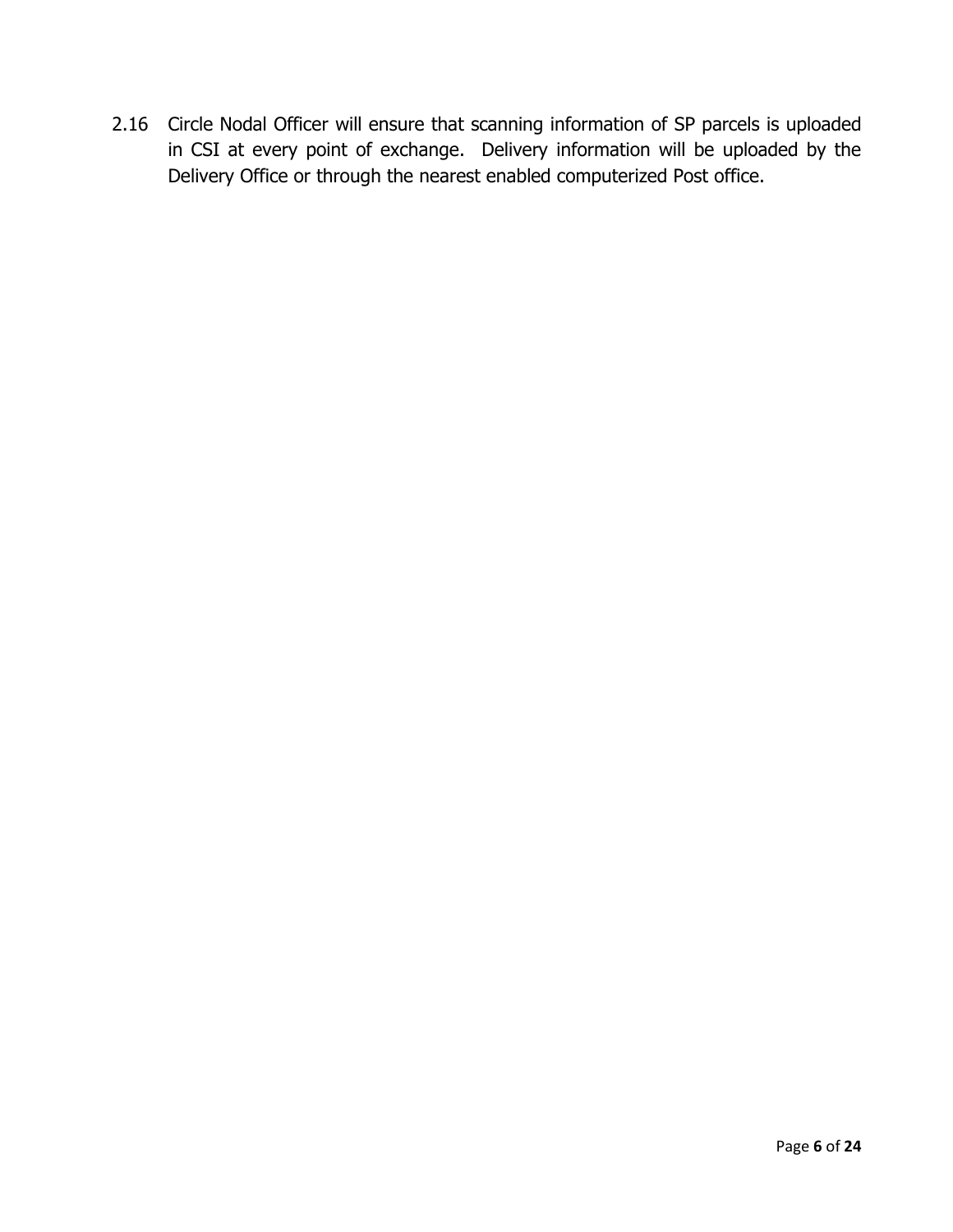2.16 Circle Nodal Officer will ensure that scanning information of SP parcels is uploaded in CSI at every point of exchange. Delivery information will be uploaded by the Delivery Office or through the nearest enabled computerized Post office.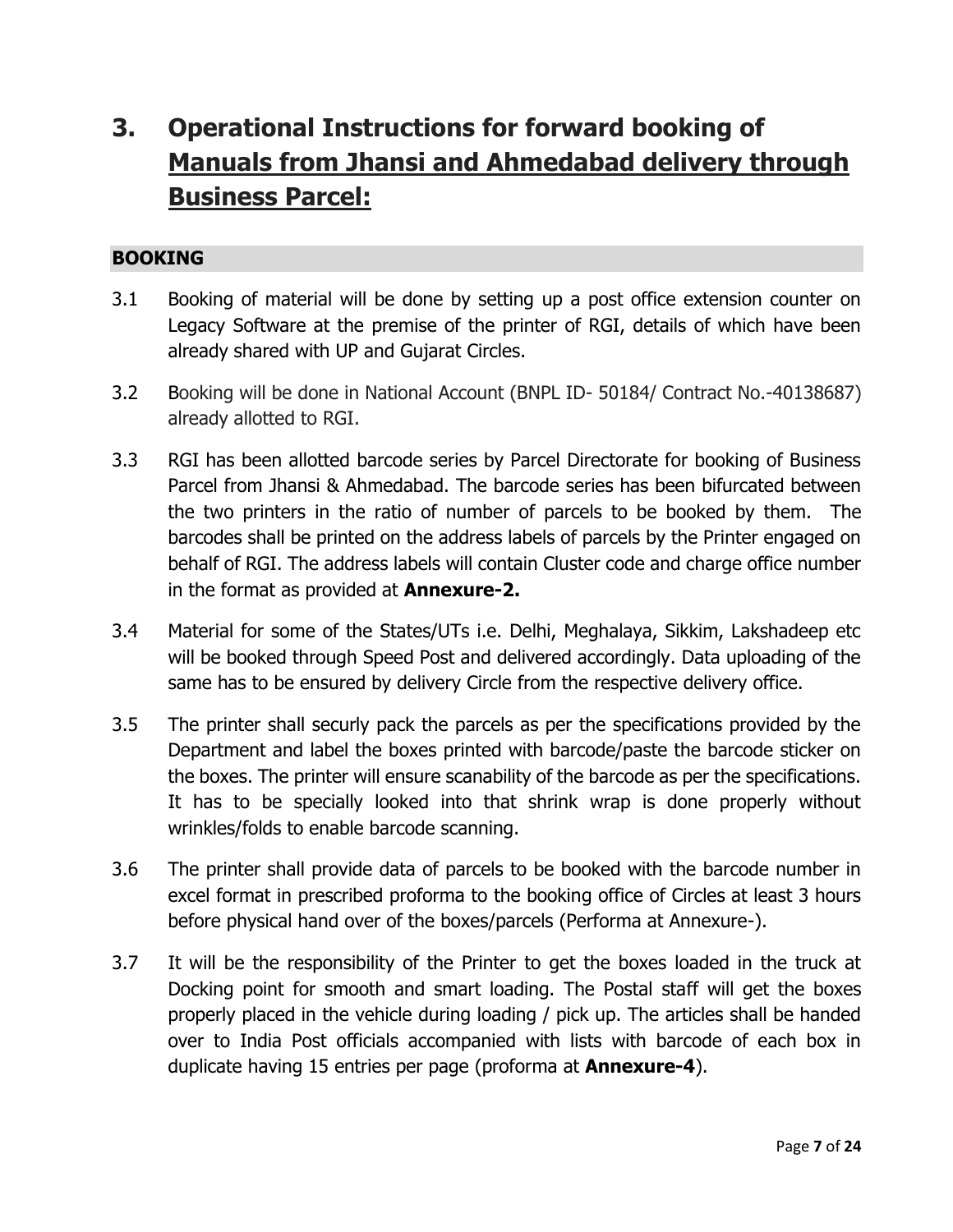## **3. Operational Instructions for forward booking of Manuals from Jhansi and Ahmedabad delivery through Business Parcel:**

#### **BOOKING**

- 3.1 Booking of material will be done by setting up a post office extension counter on Legacy Software at the premise of the printer of RGI, details of which have been already shared with UP and Gujarat Circles.
- 3.2 Booking will be done in National Account (BNPL ID- 50184/ Contract No.-40138687) already allotted to RGI.
- 3.3 RGI has been allotted barcode series by Parcel Directorate for booking of Business Parcel from Jhansi & Ahmedabad. The barcode series has been bifurcated between the two printers in the ratio of number of parcels to be booked by them. The barcodes shall be printed on the address labels of parcels by the Printer engaged on behalf of RGI. The address labels will contain Cluster code and charge office number in the format as provided at **Annexure-2.**
- 3.4 Material for some of the States/UTs i.e. Delhi, Meghalaya, Sikkim, Lakshadeep etc will be booked through Speed Post and delivered accordingly. Data uploading of the same has to be ensured by delivery Circle from the respective delivery office.
- 3.5 The printer shall securly pack the parcels as per the specifications provided by the Department and label the boxes printed with barcode/paste the barcode sticker on the boxes. The printer will ensure scanability of the barcode as per the specifications. It has to be specially looked into that shrink wrap is done properly without wrinkles/folds to enable barcode scanning.
- 3.6 The printer shall provide data of parcels to be booked with the barcode number in excel format in prescribed proforma to the booking office of Circles at least 3 hours before physical hand over of the boxes/parcels (Performa at Annexure-).
- 3.7 It will be the responsibility of the Printer to get the boxes loaded in the truck at Docking point for smooth and smart loading. The Postal staff will get the boxes properly placed in the vehicle during loading / pick up. The articles shall be handed over to India Post officials accompanied with lists with barcode of each box in duplicate having 15 entries per page (proforma at **Annexure-4**).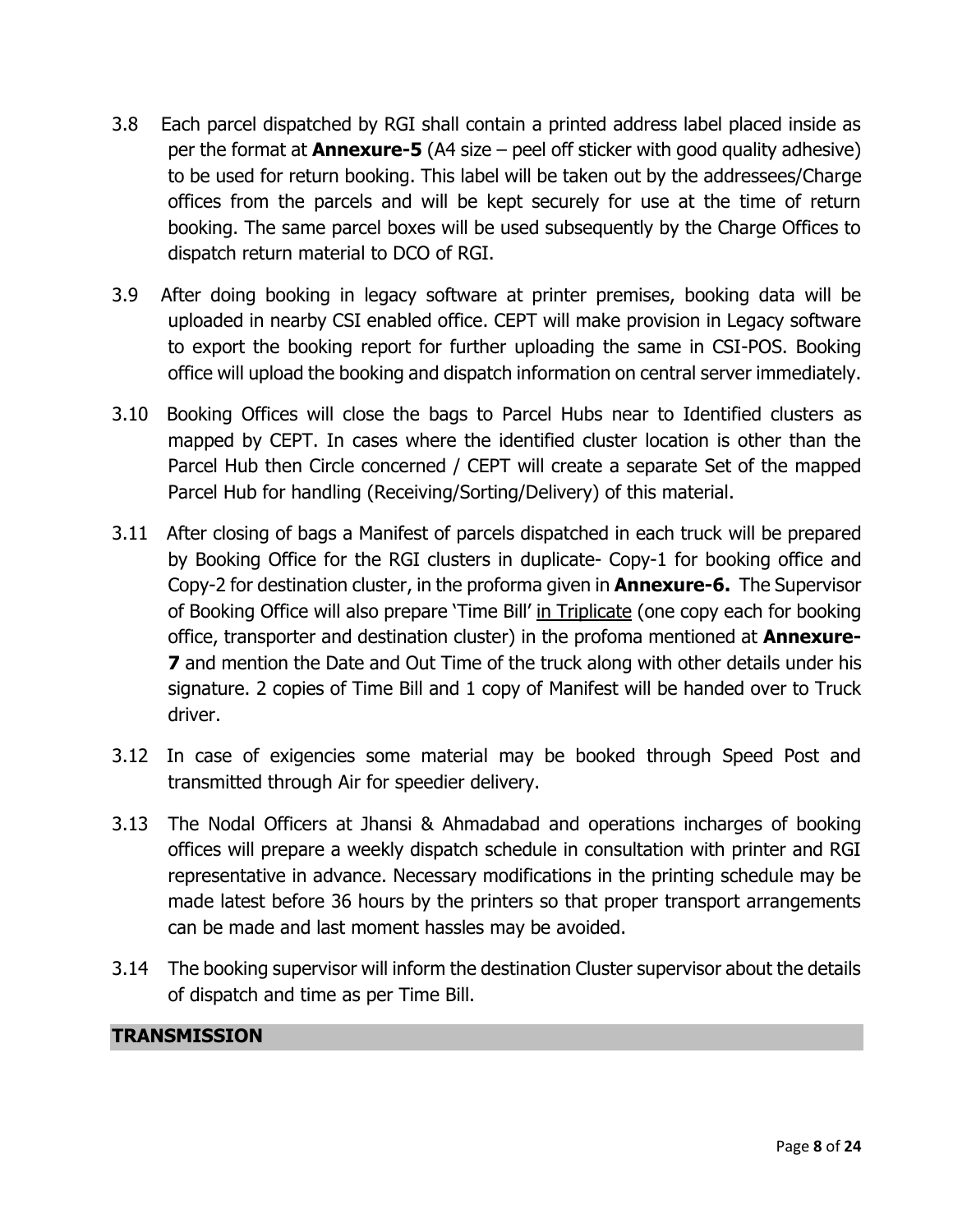- 3.8 Each parcel dispatched by RGI shall contain a printed address label placed inside as per the format at **Annexure-5** (A4 size – peel off sticker with good quality adhesive) to be used for return booking. This label will be taken out by the addressees/Charge offices from the parcels and will be kept securely for use at the time of return booking. The same parcel boxes will be used subsequently by the Charge Offices to dispatch return material to DCO of RGI.
- 3.9 After doing booking in legacy software at printer premises, booking data will be uploaded in nearby CSI enabled office. CEPT will make provision in Legacy software to export the booking report for further uploading the same in CSI-POS. Booking office will upload the booking and dispatch information on central server immediately.
- 3.10 Booking Offices will close the bags to Parcel Hubs near to Identified clusters as mapped by CEPT. In cases where the identified cluster location is other than the Parcel Hub then Circle concerned / CEPT will create a separate Set of the mapped Parcel Hub for handling (Receiving/Sorting/Delivery) of this material.
- 3.11 After closing of bags a Manifest of parcels dispatched in each truck will be prepared by Booking Office for the RGI clusters in duplicate- Copy-1 for booking office and Copy-2 for destination cluster, in the proforma given in **Annexure-6.** The Supervisor of Booking Office will also prepare 'Time Bill' in Triplicate (one copy each for booking office, transporter and destination cluster) in the profoma mentioned at **Annexure-7** and mention the Date and Out Time of the truck along with other details under his signature. 2 copies of Time Bill and 1 copy of Manifest will be handed over to Truck driver.
- 3.12 In case of exigencies some material may be booked through Speed Post and transmitted through Air for speedier delivery.
- 3.13 The Nodal Officers at Jhansi & Ahmadabad and operations incharges of booking offices will prepare a weekly dispatch schedule in consultation with printer and RGI representative in advance. Necessary modifications in the printing schedule may be made latest before 36 hours by the printers so that proper transport arrangements can be made and last moment hassles may be avoided.
- 3.14 The booking supervisor will inform the destination Cluster supervisor about the details of dispatch and time as per Time Bill.

#### **TRANSMISSION**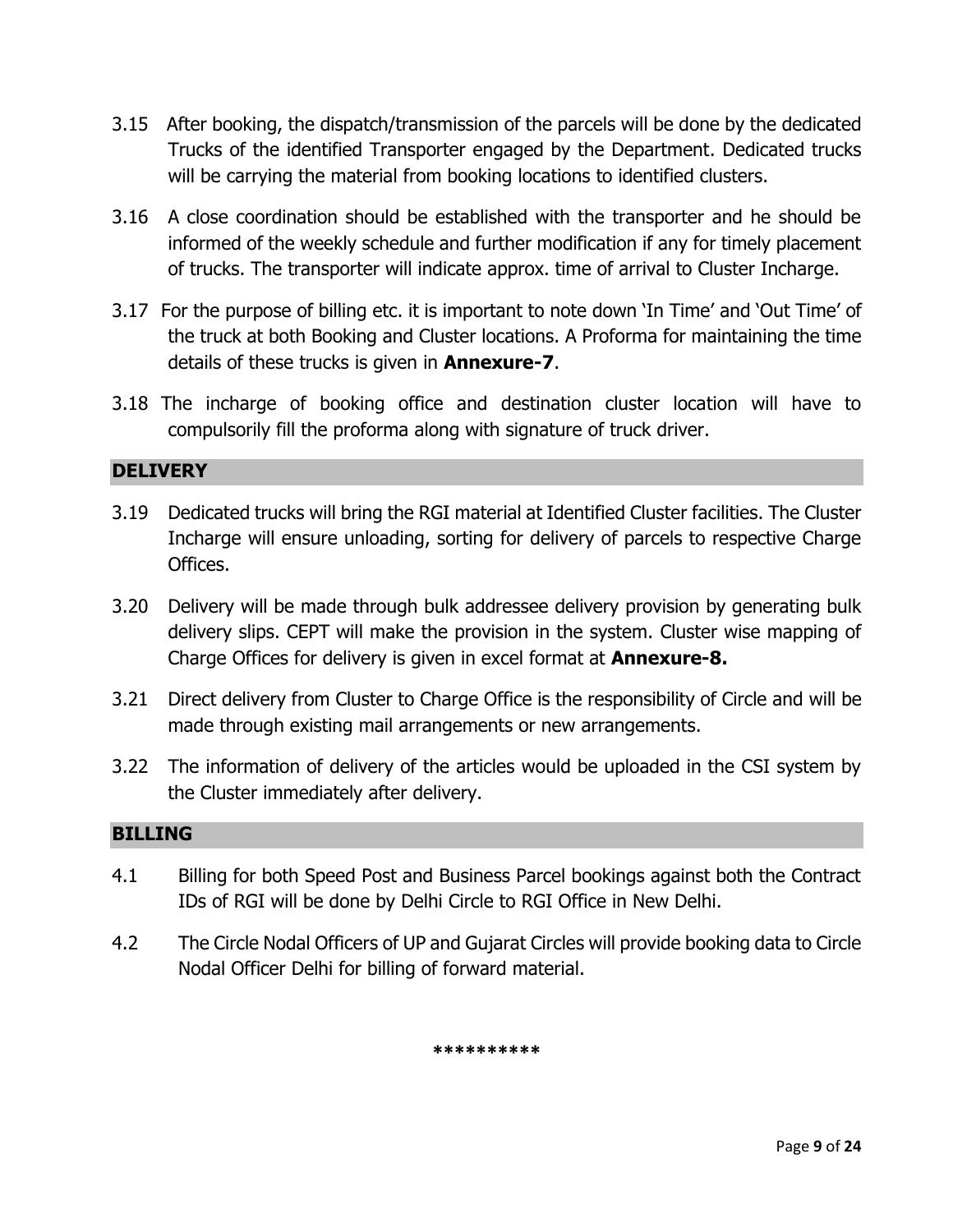- 3.15 After booking, the dispatch/transmission of the parcels will be done by the dedicated Trucks of the identified Transporter engaged by the Department. Dedicated trucks will be carrying the material from booking locations to identified clusters.
- 3.16 A close coordination should be established with the transporter and he should be informed of the weekly schedule and further modification if any for timely placement of trucks. The transporter will indicate approx. time of arrival to Cluster Incharge.
- 3.17 For the purpose of billing etc. it is important to note down 'In Time' and 'Out Time' of the truck at both Booking and Cluster locations. A Proforma for maintaining the time details of these trucks is given in **Annexure-7**.
- 3.18 The incharge of booking office and destination cluster location will have to compulsorily fill the proforma along with signature of truck driver.

#### **DELIVERY**

- 3.19 Dedicated trucks will bring the RGI material at Identified Cluster facilities. The Cluster Incharge will ensure unloading, sorting for delivery of parcels to respective Charge Offices.
- 3.20 Delivery will be made through bulk addressee delivery provision by generating bulk delivery slips. CEPT will make the provision in the system. Cluster wise mapping of Charge Offices for delivery is given in excel format at **Annexure-8.**
- 3.21 Direct delivery from Cluster to Charge Office is the responsibility of Circle and will be made through existing mail arrangements or new arrangements.
- 3.22 The information of delivery of the articles would be uploaded in the CSI system by the Cluster immediately after delivery.

#### **BILLING**

- 4.1 Billing for both Speed Post and Business Parcel bookings against both the Contract IDs of RGI will be done by Delhi Circle to RGI Office in New Delhi.
- 4.2 The Circle Nodal Officers of UP and Gujarat Circles will provide booking data to Circle Nodal Officer Delhi for billing of forward material.

**\*\*\*\*\*\*\*\*\*\***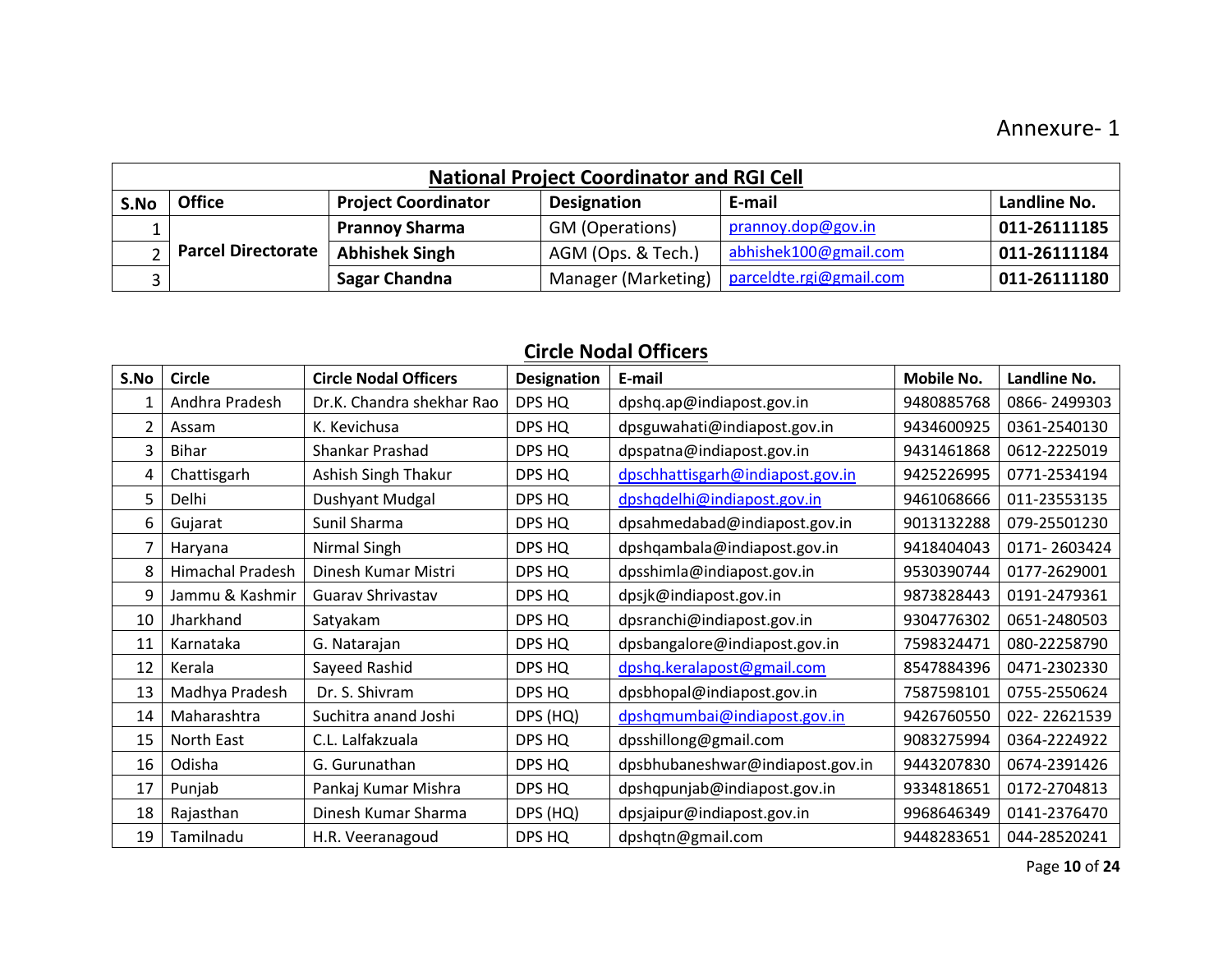|      |                      |                            | <b>National Project Coordinator and RGI Cell</b> |                         |              |
|------|----------------------|----------------------------|--------------------------------------------------|-------------------------|--------------|
| S.No | <b>Office</b>        | <b>Project Coordinator</b> | <b>Designation</b>                               | E-mail                  | Landline No. |
|      |                      | <b>Prannoy Sharma</b>      | GM (Operations)                                  | prannoy.dop@gov.in      | 011-26111185 |
|      | 2 Parcel Directorate | <b>Abhishek Singh</b>      | AGM (Ops. & Tech.)                               | abhishek100@gmail.com   | 011-26111184 |
|      |                      | Sagar Chandna              | Manager (Marketing)                              | parceldte.rgi@gmail.com | 011-26111180 |

## **Circle Nodal Officers**

| S.No          | <b>Circle</b>           | <b>Circle Nodal Officers</b> | <b>Designation</b> | E-mail                           | <b>Mobile No.</b> | Landline No. |
|---------------|-------------------------|------------------------------|--------------------|----------------------------------|-------------------|--------------|
|               | Andhra Pradesh          | Dr.K. Chandra shekhar Rao    | DPS HQ             | dpshq.ap@indiapost.gov.in        | 9480885768        | 0866-2499303 |
| $\mathcal{P}$ | Assam                   | K. Kevichusa                 | DPS HQ             | dpsguwahati@indiapost.gov.in     | 9434600925        | 0361-2540130 |
| 3             | <b>Bihar</b>            | Shankar Prashad              | DPS HQ             | dpspatna@indiapost.gov.in        | 9431461868        | 0612-2225019 |
| 4             | Chattisgarh             | Ashish Singh Thakur          | DPS HQ             | dpschhattisgarh@indiapost.gov.in | 9425226995        | 0771-2534194 |
| 5.            | Delhi                   | <b>Dushyant Mudgal</b>       | DPS HQ             | dpshqdelhi@indiapost.gov.in      | 9461068666        | 011-23553135 |
| 6             | Gujarat                 | Sunil Sharma                 | DPS HQ             | dpsahmedabad@indiapost.gov.in    | 9013132288        | 079-25501230 |
| 7             | Haryana                 | Nirmal Singh                 | DPS HQ             | dpshqambala@indiapost.gov.in     | 9418404043        | 0171-2603424 |
| 8             | <b>Himachal Pradesh</b> | Dinesh Kumar Mistri          | DPS HQ             | dpsshimla@indiapost.gov.in       | 9530390744        | 0177-2629001 |
| 9             | Jammu & Kashmir         | Guarav Shrivastav            | DPS HQ             | dpsjk@indiapost.gov.in           | 9873828443        | 0191-2479361 |
| 10            | Jharkhand               | Satyakam                     | DPS HQ             | dpsranchi@indiapost.gov.in       | 9304776302        | 0651-2480503 |
| 11            | Karnataka               | G. Natarajan                 | DPS HQ             | dpsbangalore@indiapost.gov.in    | 7598324471        | 080-22258790 |
| 12            | Kerala                  | Sayeed Rashid                | DPS HQ             | dpshq.keralapost@gmail.com       | 8547884396        | 0471-2302330 |
| 13            | Madhya Pradesh          | Dr. S. Shivram               | DPS HQ             | dpsbhopal@indiapost.gov.in       | 7587598101        | 0755-2550624 |
| 14            | Maharashtra             | Suchitra anand Joshi         | DPS (HQ)           | dpshqmumbai@indiapost.gov.in     | 9426760550        | 022-22621539 |
| 15            | North East              | C.L. Lalfakzuala             | DPS HQ             | dpsshillong@gmail.com            | 9083275994        | 0364-2224922 |
| 16            | Odisha                  | G. Gurunathan                | DPS HQ             | dpsbhubaneshwar@indiapost.gov.in | 9443207830        | 0674-2391426 |
| 17            | Punjab                  | Pankaj Kumar Mishra          | DPS HQ             | dpshqpunjab@indiapost.gov.in     | 9334818651        | 0172-2704813 |
| 18            | Rajasthan               | Dinesh Kumar Sharma          | DPS (HQ)           | dpsjaipur@indiapost.gov.in       | 9968646349        | 0141-2376470 |
| 19            | Tamilnadu               | H.R. Veeranagoud             | DPS HQ             | dpshqtn@gmail.com                | 9448283651        | 044-28520241 |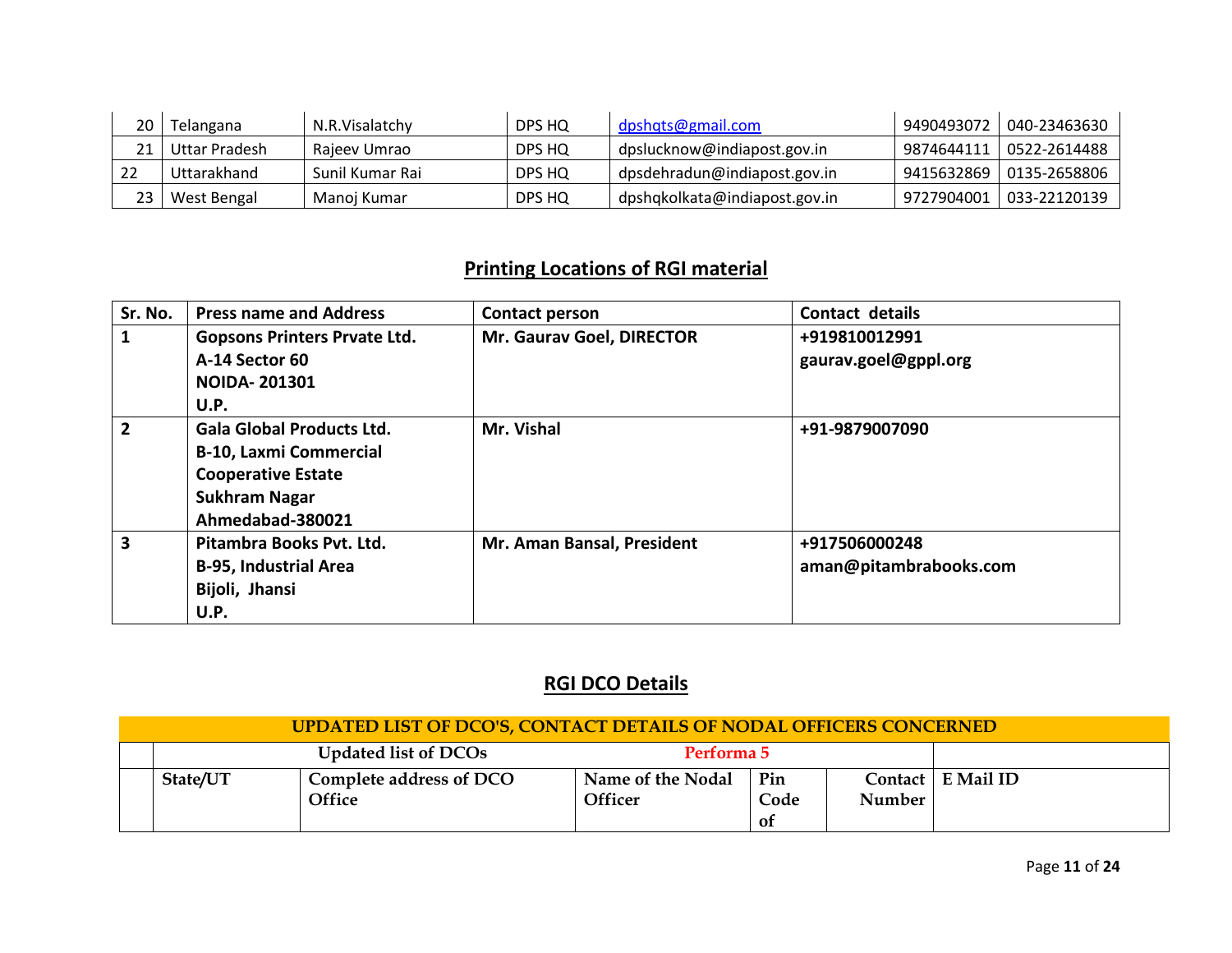| Telangana     | N.R.Visalatchy  | DPS HQ | dpshqts@gmail.com             | 9490493072 | 040-23463630 |
|---------------|-----------------|--------|-------------------------------|------------|--------------|
| Uttar Pradesh | Rajeev Umrao    | DPS HQ | dpslucknow@indiapost.gov.in   | 9874644111 | 0522-2614488 |
| Uttarakhand   | Sunil Kumar Rai | DPS HQ | dpsdehradun@indiapost.gov.in  | 9415632869 | 0135-2658806 |
| West Bengal   | Manoj Kumar     | DPS HQ | dpshqkolkata@indiapost.gov.in | 9727904001 | 033-22120139 |

## **Printing Locations of RGI material**

| Sr. No.        | <b>Press name and Address</b>       | Contact person             | Contact details        |
|----------------|-------------------------------------|----------------------------|------------------------|
|                | <b>Gopsons Printers Prvate Ltd.</b> | Mr. Gaurav Goel, DIRECTOR  | +919810012991          |
|                | A-14 Sector 60                      |                            | gaurav.goel@gppl.org   |
|                | <b>NOIDA-201301</b>                 |                            |                        |
|                | U.P.                                |                            |                        |
| $\overline{2}$ | <b>Gala Global Products Ltd.</b>    | Mr. Vishal                 | +91-9879007090         |
|                | <b>B-10, Laxmi Commercial</b>       |                            |                        |
|                | <b>Cooperative Estate</b>           |                            |                        |
|                | <b>Sukhram Nagar</b>                |                            |                        |
|                | Ahmedabad-380021                    |                            |                        |
| 3              | Pitambra Books Pvt. Ltd.            | Mr. Aman Bansal, President | +917506000248          |
|                | <b>B-95, Industrial Area</b>        |                            | aman@pitambrabooks.com |
|                | Bijoli, Jhansi                      |                            |                        |
|                | U.P.                                |                            |                        |

## **RGI DCO Details**

|          | UPDATED LIST OF DCO'S, CONTACT DETAILS OF NODAL OFFICERS CONCERNED |                                     |                   |        |                     |
|----------|--------------------------------------------------------------------|-------------------------------------|-------------------|--------|---------------------|
|          | <b>Updated list of DCOs</b>                                        | Performa 5                          |                   |        |                     |
| State/UT | Complete address of DCO<br>Office                                  | Name of the Nodal<br><b>Officer</b> | Pin<br>Code<br>0f | Number | Contact   E Mail ID |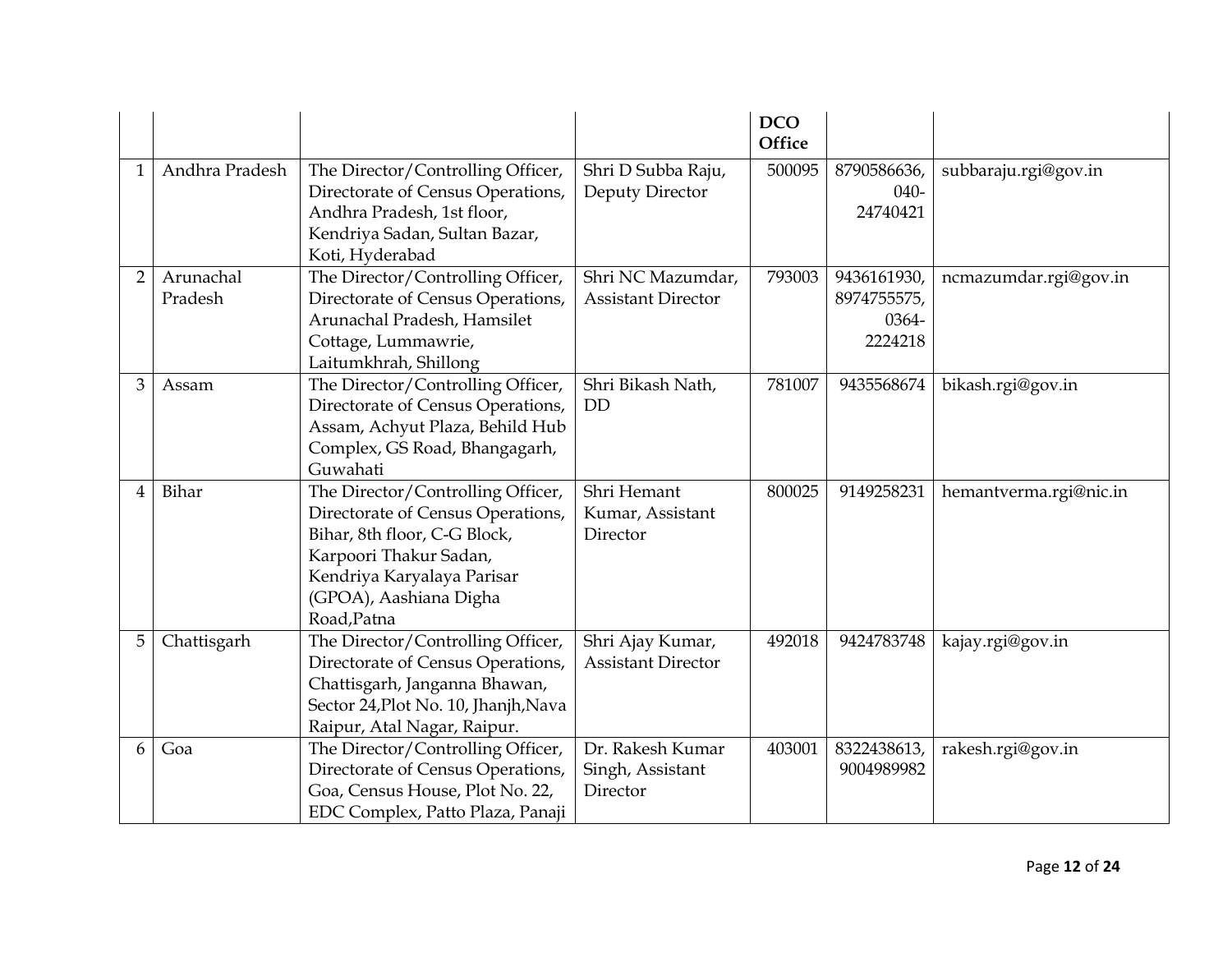|                |                      |                                                                                                                                                                                                         |                                                  | <b>DCO</b><br><b>Office</b> |                                                |                        |
|----------------|----------------------|---------------------------------------------------------------------------------------------------------------------------------------------------------------------------------------------------------|--------------------------------------------------|-----------------------------|------------------------------------------------|------------------------|
| 1              | Andhra Pradesh       | The Director/Controlling Officer,<br>Directorate of Census Operations,<br>Andhra Pradesh, 1st floor,<br>Kendriya Sadan, Sultan Bazar,<br>Koti, Hyderabad                                                | Shri D Subba Raju,<br>Deputy Director            | 500095                      | 8790586636,<br>$040-$<br>24740421              | subbaraju.rgi@gov.in   |
| $\overline{2}$ | Arunachal<br>Pradesh | The Director/Controlling Officer,<br>Directorate of Census Operations,<br>Arunachal Pradesh, Hamsilet<br>Cottage, Lummawrie,<br>Laitumkhrah, Shillong                                                   | Shri NC Mazumdar,<br><b>Assistant Director</b>   | 793003                      | 9436161930,<br>8974755575,<br>0364-<br>2224218 | ncmazumdar.rgi@gov.in  |
| 3              | Assam                | The Director/Controlling Officer,<br>Directorate of Census Operations,<br>Assam, Achyut Plaza, Behild Hub<br>Complex, GS Road, Bhangagarh,<br>Guwahati                                                  | Shri Bikash Nath,<br><b>DD</b>                   | 781007                      | 9435568674                                     | bikash.rgi@gov.in      |
| 4              | Bihar                | The Director/Controlling Officer,<br>Directorate of Census Operations,<br>Bihar, 8th floor, C-G Block,<br>Karpoori Thakur Sadan,<br>Kendriya Karyalaya Parisar<br>(GPOA), Aashiana Digha<br>Road, Patna | Shri Hemant<br>Kumar, Assistant<br>Director      | 800025                      | 9149258231                                     | hemantverma.rgi@nic.in |
| 5              | Chattisgarh          | The Director/Controlling Officer,<br>Directorate of Census Operations,<br>Chattisgarh, Janganna Bhawan,<br>Sector 24, Plot No. 10, Jhanjh, Nava<br>Raipur, Atal Nagar, Raipur.                          | Shri Ajay Kumar,<br><b>Assistant Director</b>    | 492018                      | 9424783748                                     | kajay.rgi@gov.in       |
| 6              | Goa                  | The Director/Controlling Officer,<br>Directorate of Census Operations,<br>Goa, Census House, Plot No. 22,<br>EDC Complex, Patto Plaza, Panaji                                                           | Dr. Rakesh Kumar<br>Singh, Assistant<br>Director | 403001                      | 8322438613,<br>9004989982                      | rakesh.rgi@gov.in      |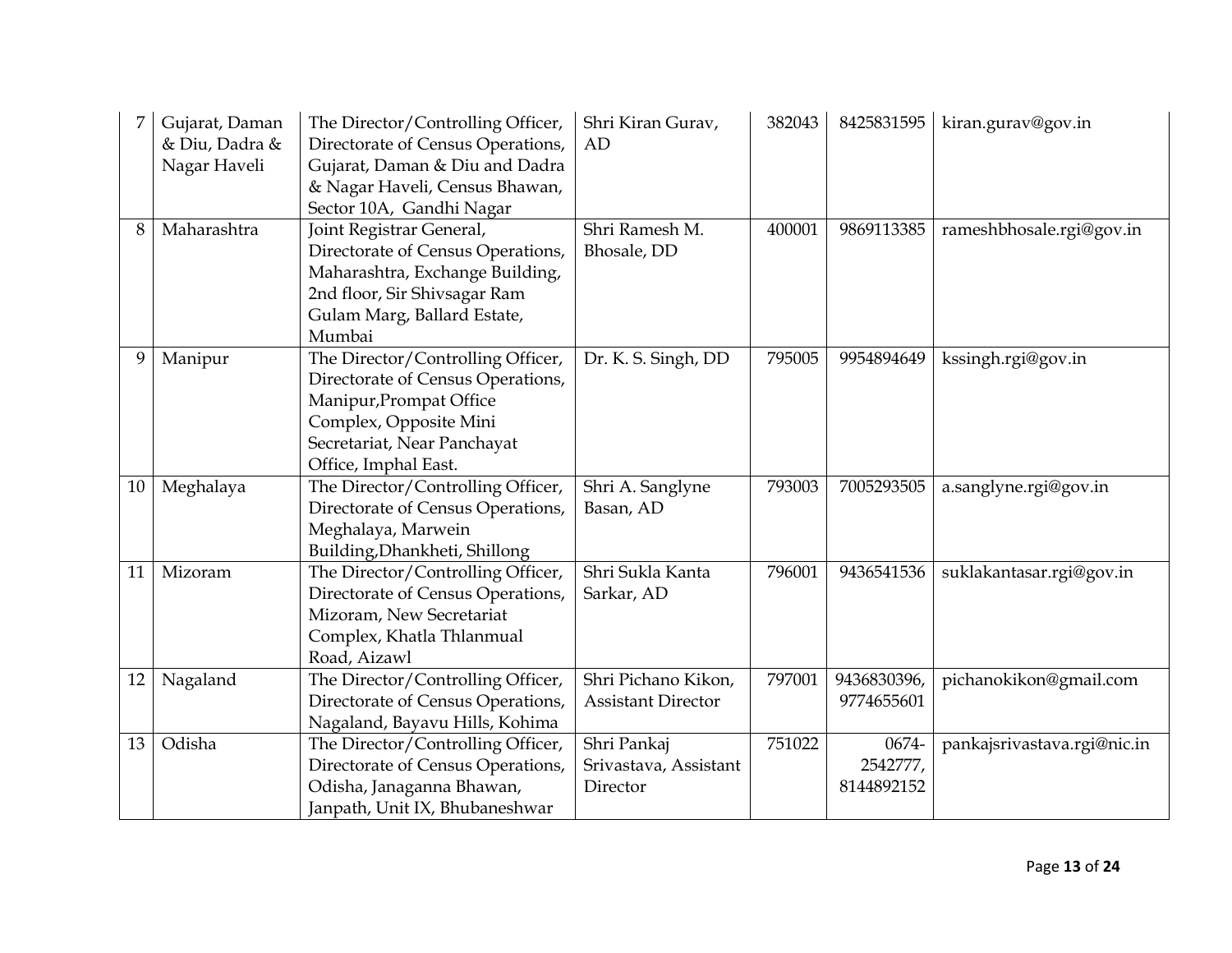|    | Gujarat, Daman<br>& Diu, Dadra &<br>Nagar Haveli | The Director/Controlling Officer,<br>Directorate of Census Operations,<br>Gujarat, Daman & Diu and Dadra<br>& Nagar Haveli, Census Bhawan,<br>Sector 10A, Gandhi Nagar             | Shri Kiran Gurav,<br>AD                          | 382043 | 8425831595                      | kiran.gurav@gov.in          |
|----|--------------------------------------------------|------------------------------------------------------------------------------------------------------------------------------------------------------------------------------------|--------------------------------------------------|--------|---------------------------------|-----------------------------|
| 8  | Maharashtra                                      | Joint Registrar General,<br>Directorate of Census Operations,<br>Maharashtra, Exchange Building,<br>2nd floor, Sir Shivsagar Ram<br>Gulam Marg, Ballard Estate,<br>Mumbai          | Shri Ramesh M.<br>Bhosale, DD                    | 400001 | 9869113385                      | rameshbhosale.rgi@gov.in    |
| 9  | Manipur                                          | The Director/Controlling Officer,<br>Directorate of Census Operations,<br>Manipur, Prompat Office<br>Complex, Opposite Mini<br>Secretariat, Near Panchayat<br>Office, Imphal East. | Dr. K. S. Singh, DD                              | 795005 | 9954894649                      | kssingh.rgi@gov.in          |
| 10 | Meghalaya                                        | The Director/Controlling Officer,<br>Directorate of Census Operations,<br>Meghalaya, Marwein<br>Building, Dhankheti, Shillong                                                      | Shri A. Sanglyne<br>Basan, AD                    | 793003 | 7005293505                      | a.sanglyne.rgi@gov.in       |
| 11 | Mizoram                                          | The Director/Controlling Officer,<br>Directorate of Census Operations,<br>Mizoram, New Secretariat<br>Complex, Khatla Thlanmual<br>Road, Aizawl                                    | Shri Sukla Kanta<br>Sarkar, AD                   | 796001 | 9436541536                      | suklakantasar.rgi@gov.in    |
| 12 | Nagaland                                         | The Director/Controlling Officer,<br>Directorate of Census Operations,<br>Nagaland, Bayavu Hills, Kohima                                                                           | Shri Pichano Kikon,<br><b>Assistant Director</b> | 797001 | 9436830396,<br>9774655601       | pichanokikon@gmail.com      |
| 13 | Odisha                                           | The Director/Controlling Officer,<br>Directorate of Census Operations,<br>Odisha, Janaganna Bhawan,<br>Janpath, Unit IX, Bhubaneshwar                                              | Shri Pankaj<br>Srivastava, Assistant<br>Director | 751022 | 0674-<br>2542777,<br>8144892152 | pankajsrivastava.rgi@nic.in |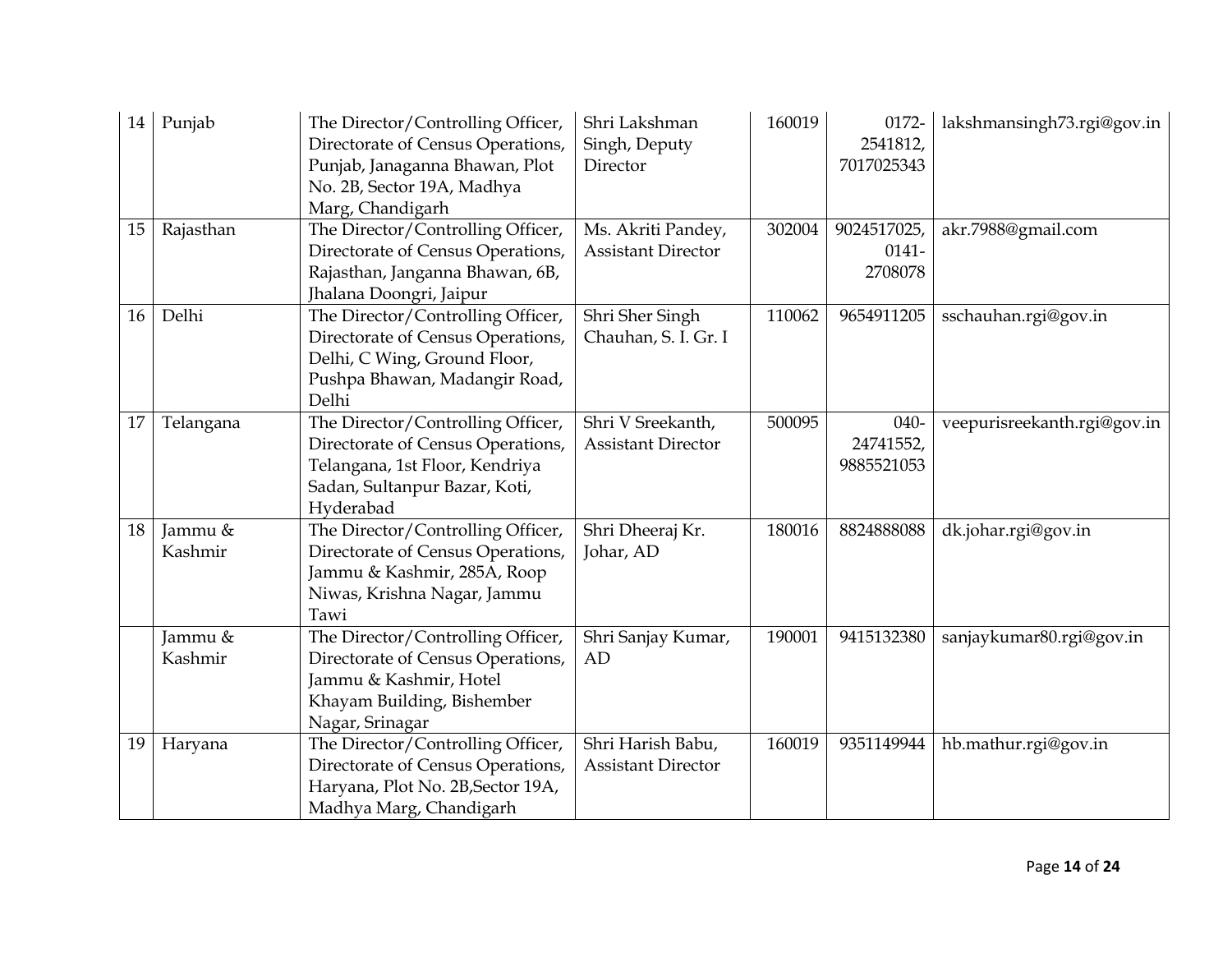| 14 | Punjab             | The Director/Controlling Officer,<br>Directorate of Census Operations,<br>Punjab, Janaganna Bhawan, Plot<br>No. 2B, Sector 19A, Madhya<br>Marg, Chandigarh | Shri Lakshman<br>Singh, Deputy<br>Director      | 160019 | 0172-<br>2541812,<br>7017025343    | lakshmansingh73.rgi@gov.in  |
|----|--------------------|------------------------------------------------------------------------------------------------------------------------------------------------------------|-------------------------------------------------|--------|------------------------------------|-----------------------------|
| 15 | Rajasthan          | The Director/Controlling Officer,<br>Directorate of Census Operations,<br>Rajasthan, Janganna Bhawan, 6B,<br>Jhalana Doongri, Jaipur                       | Ms. Akriti Pandey,<br><b>Assistant Director</b> | 302004 | 9024517025,<br>$0141 -$<br>2708078 | akr.7988@gmail.com          |
| 16 | Delhi              | The Director/Controlling Officer,<br>Directorate of Census Operations,<br>Delhi, C Wing, Ground Floor,<br>Pushpa Bhawan, Madangir Road,<br>Delhi           | Shri Sher Singh<br>Chauhan, S. I. Gr. I         | 110062 | 9654911205                         | sschauhan.rgi@gov.in        |
| 17 | Telangana          | The Director/Controlling Officer,<br>Directorate of Census Operations,<br>Telangana, 1st Floor, Kendriya<br>Sadan, Sultanpur Bazar, Koti,<br>Hyderabad     | Shri V Sreekanth,<br><b>Assistant Director</b>  | 500095 | 040-<br>24741552,<br>9885521053    | veepurisreekanth.rgi@gov.in |
| 18 | Jammu &<br>Kashmir | The Director/Controlling Officer,<br>Directorate of Census Operations,<br>Jammu & Kashmir, 285A, Roop<br>Niwas, Krishna Nagar, Jammu<br>Tawi               | Shri Dheeraj Kr.<br>Johar, AD                   | 180016 | 8824888088                         | dk.johar.rgi@gov.in         |
|    | Jammu &<br>Kashmir | The Director/Controlling Officer,<br>Directorate of Census Operations,<br>Jammu & Kashmir, Hotel<br>Khayam Building, Bishember<br>Nagar, Srinagar          | Shri Sanjay Kumar,<br>AD                        | 190001 | 9415132380                         | sanjaykumar80.rgi@gov.in    |
| 19 | Haryana            | The Director/Controlling Officer,<br>Directorate of Census Operations,<br>Haryana, Plot No. 2B, Sector 19A,<br>Madhya Marg, Chandigarh                     | Shri Harish Babu,<br><b>Assistant Director</b>  | 160019 | 9351149944                         | hb.mathur.rgi@gov.in        |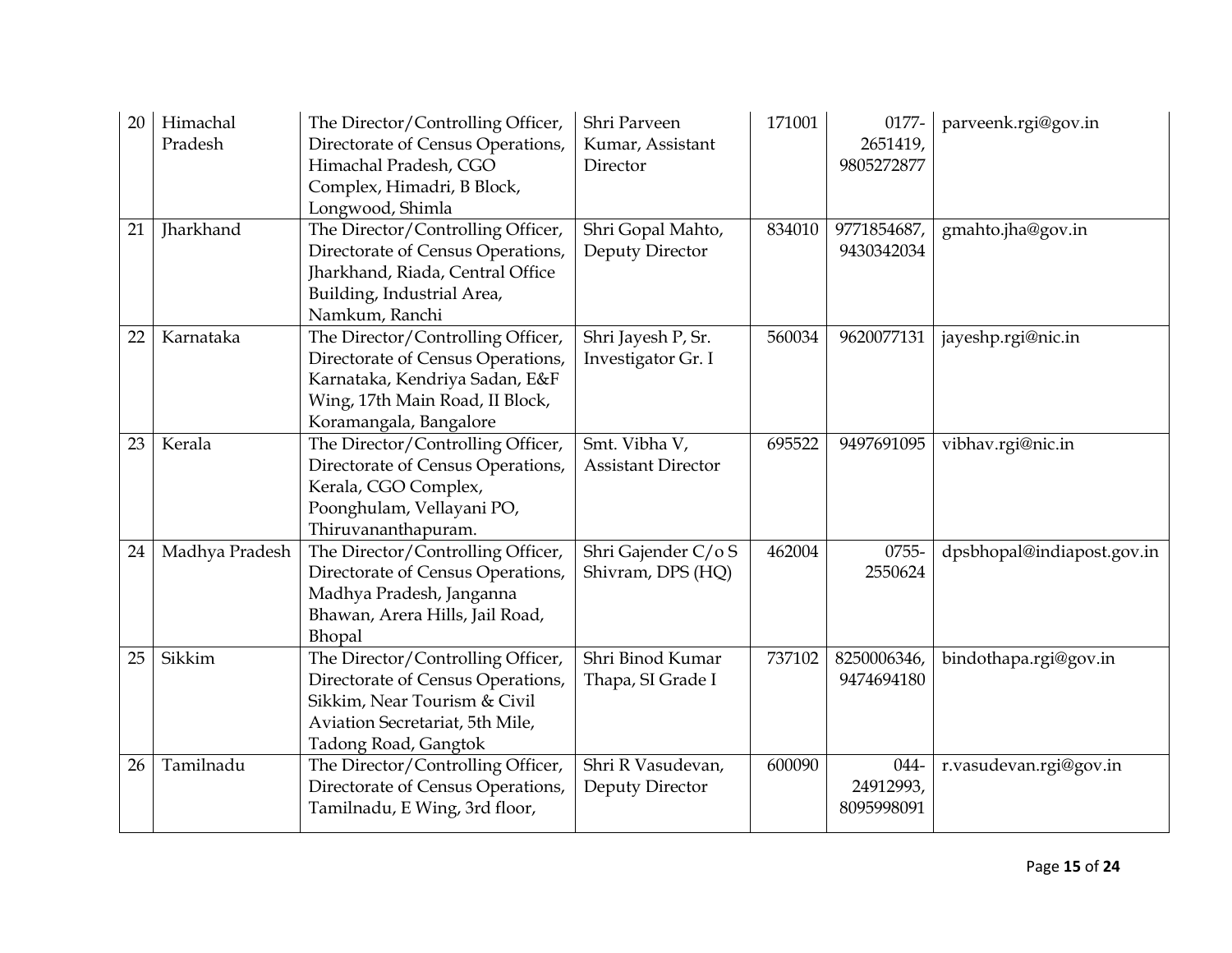| 20<br>21 | Himachal<br>Pradesh<br>Jharkhand | The Director/Controlling Officer,<br>Directorate of Census Operations,<br>Himachal Pradesh, CGO<br>Complex, Himadri, B Block,<br>Longwood, Shimla<br>The Director/Controlling Officer,<br>Directorate of Census Operations,<br>Jharkhand, Riada, Central Office | Shri Parveen<br>Kumar, Assistant<br>Director<br>Shri Gopal Mahto,<br>Deputy Director | 171001<br>834010 | 0177-<br>2651419,<br>9805272877<br>9771854687,<br>9430342034 | parveenk.rgi@gov.in<br>gmahto.jha@gov.in |
|----------|----------------------------------|-----------------------------------------------------------------------------------------------------------------------------------------------------------------------------------------------------------------------------------------------------------------|--------------------------------------------------------------------------------------|------------------|--------------------------------------------------------------|------------------------------------------|
|          |                                  | Building, Industrial Area,<br>Namkum, Ranchi                                                                                                                                                                                                                    |                                                                                      |                  |                                                              |                                          |
| 22       | Karnataka                        | The Director/Controlling Officer,<br>Directorate of Census Operations,<br>Karnataka, Kendriya Sadan, E&F<br>Wing, 17th Main Road, II Block,<br>Koramangala, Bangalore                                                                                           | Shri Jayesh P, Sr.<br>Investigator Gr. I                                             | 560034           | 9620077131                                                   | jayeshp.rgi@nic.in                       |
| 23       | Kerala                           | The Director/Controlling Officer,<br>Directorate of Census Operations,<br>Kerala, CGO Complex,<br>Poonghulam, Vellayani PO,<br>Thiruvananthapuram.                                                                                                              | Smt. Vibha V,<br><b>Assistant Director</b>                                           | 695522           | 9497691095                                                   | vibhav.rgi@nic.in                        |
| 24       | Madhya Pradesh                   | The Director/Controlling Officer,<br>Directorate of Census Operations,<br>Madhya Pradesh, Janganna<br>Bhawan, Arera Hills, Jail Road,<br>Bhopal                                                                                                                 | Shri Gajender C/oS<br>Shivram, DPS (HQ)                                              | 462004           | 0755-<br>2550624                                             | dpsbhopal@indiapost.gov.in               |
| 25       | Sikkim                           | The Director/Controlling Officer,<br>Directorate of Census Operations,<br>Sikkim, Near Tourism & Civil<br>Aviation Secretariat, 5th Mile,<br>Tadong Road, Gangtok                                                                                               | Shri Binod Kumar<br>Thapa, SI Grade I                                                | 737102           | 8250006346,<br>9474694180                                    | bindothapa.rgi@gov.in                    |
| 26       | Tamilnadu                        | The Director/Controlling Officer,<br>Directorate of Census Operations,<br>Tamilnadu, E Wing, 3rd floor,                                                                                                                                                         | Shri R Vasudevan,<br>Deputy Director                                                 | 600090           | 044-<br>24912993,<br>8095998091                              | r.vasudevan.rgi@gov.in                   |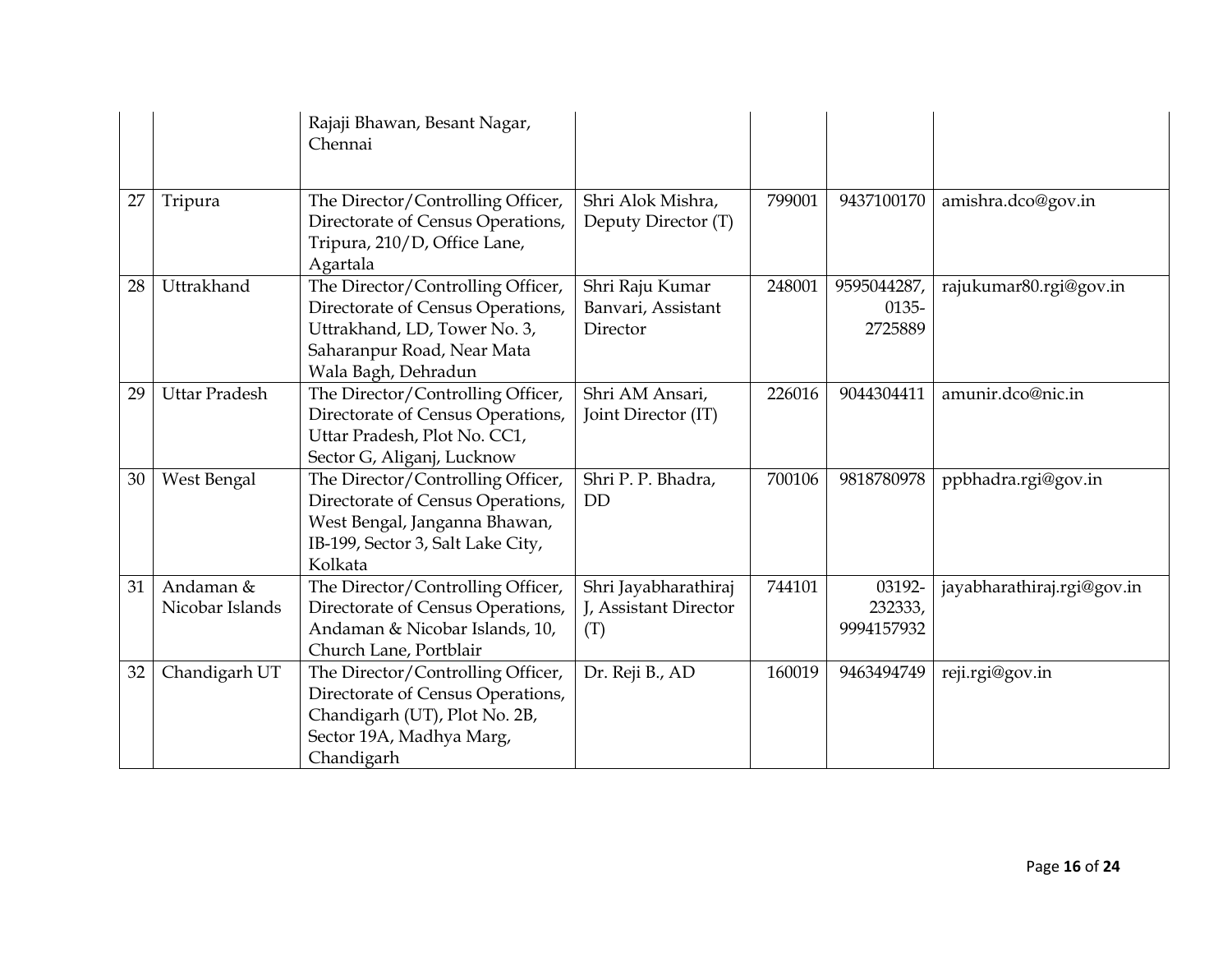|    |                              | Rajaji Bhawan, Besant Nagar,<br>Chennai                                                                                                                     |                                                      |        |                                 |                            |
|----|------------------------------|-------------------------------------------------------------------------------------------------------------------------------------------------------------|------------------------------------------------------|--------|---------------------------------|----------------------------|
| 27 | Tripura                      | The Director/Controlling Officer,<br>Directorate of Census Operations,<br>Tripura, 210/D, Office Lane,<br>Agartala                                          | Shri Alok Mishra,<br>Deputy Director (T)             | 799001 | 9437100170                      | amishra.dco@gov.in         |
| 28 | Uttrakhand                   | The Director/Controlling Officer,<br>Directorate of Census Operations,<br>Uttrakhand, LD, Tower No. 3,<br>Saharanpur Road, Near Mata<br>Wala Bagh, Dehradun | Shri Raju Kumar<br>Banvari, Assistant<br>Director    | 248001 | 9595044287,<br>0135-<br>2725889 | rajukumar80.rgi@gov.in     |
| 29 | <b>Uttar Pradesh</b>         | The Director/Controlling Officer,<br>Directorate of Census Operations,<br>Uttar Pradesh, Plot No. CC1,<br>Sector G, Aliganj, Lucknow                        | Shri AM Ansari,<br>Joint Director (IT)               | 226016 | 9044304411                      | amunir.dco@nic.in          |
| 30 | West Bengal                  | The Director/Controlling Officer,<br>Directorate of Census Operations,<br>West Bengal, Janganna Bhawan,<br>IB-199, Sector 3, Salt Lake City,<br>Kolkata     | Shri P. P. Bhadra,<br><b>DD</b>                      | 700106 | 9818780978                      | ppbhadra.rgi@gov.in        |
| 31 | Andaman &<br>Nicobar Islands | The Director/Controlling Officer,<br>Directorate of Census Operations,<br>Andaman & Nicobar Islands, 10,<br>Church Lane, Portblair                          | Shri Jayabharathiraj<br>J, Assistant Director<br>(T) | 744101 | 03192-<br>232333,<br>9994157932 | jayabharathiraj.rgi@gov.in |
| 32 | Chandigarh UT                | The Director/Controlling Officer,<br>Directorate of Census Operations,<br>Chandigarh (UT), Plot No. 2B,<br>Sector 19A, Madhya Marg,<br>Chandigarh           | Dr. Reji B., AD                                      | 160019 | 9463494749                      | reji.rgi@gov.in            |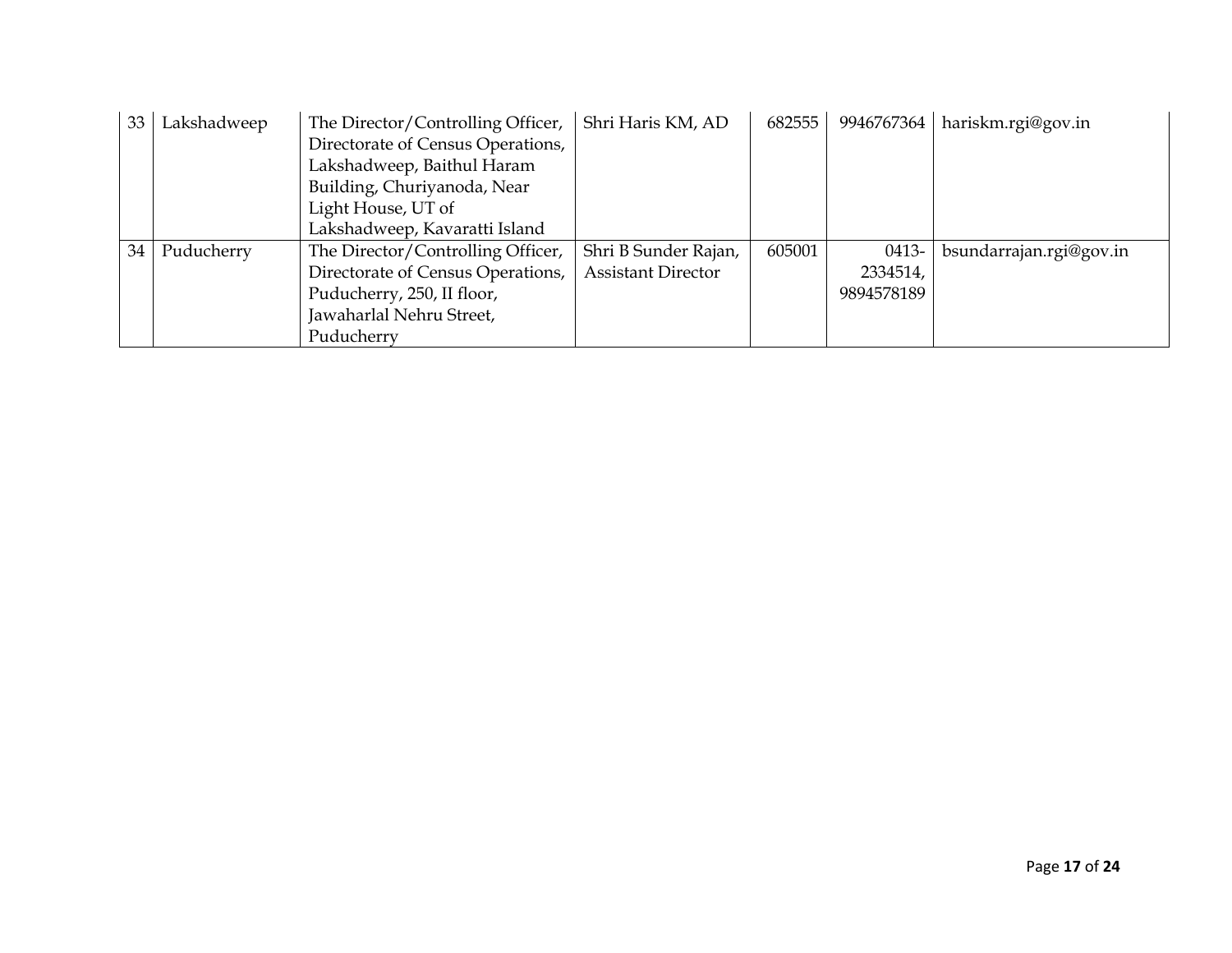| 33 | Lakshadweep | The Director/Controlling Officer, | Shri Haris KM, AD         | 682555 | 9946767364 | hariskm.rgi@gov.in      |
|----|-------------|-----------------------------------|---------------------------|--------|------------|-------------------------|
|    |             | Directorate of Census Operations, |                           |        |            |                         |
|    |             | Lakshadweep, Baithul Haram        |                           |        |            |                         |
|    |             | Building, Churiyanoda, Near       |                           |        |            |                         |
|    |             | Light House, UT of                |                           |        |            |                         |
|    |             | Lakshadweep, Kavaratti Island     |                           |        |            |                         |
| 34 | Puducherry  | The Director/Controlling Officer, | Shri B Sunder Rajan,      | 605001 | 0413-      | bsundarrajan.rgi@gov.in |
|    |             | Directorate of Census Operations, | <b>Assistant Director</b> |        | 2334514,   |                         |
|    |             | Puducherry, 250, II floor,        |                           |        | 9894578189 |                         |
|    |             | Jawaharlal Nehru Street,          |                           |        |            |                         |
|    |             | Puducherry                        |                           |        |            |                         |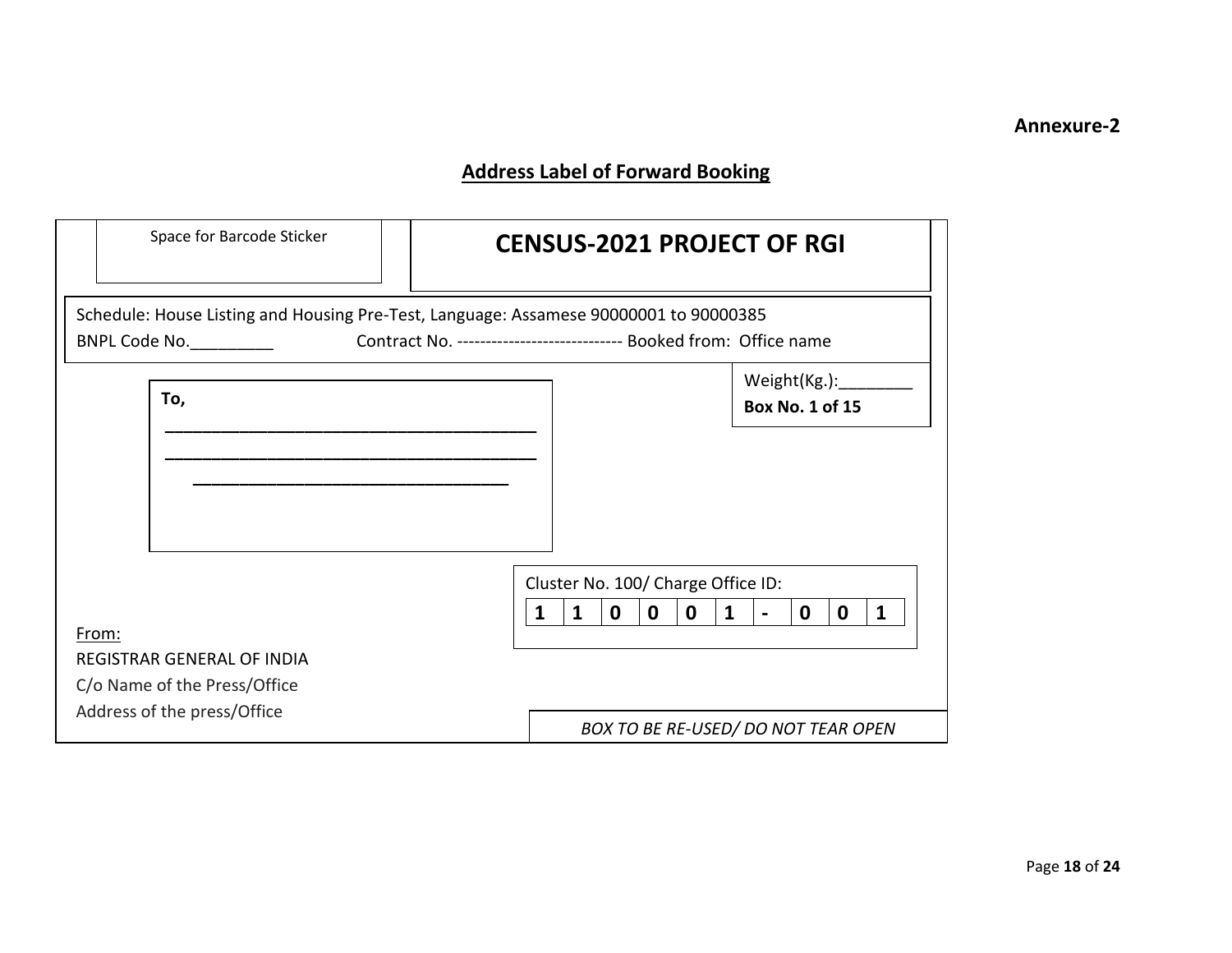## **Address Label of Forward Booking**

| Space for Barcode Sticker                                                                              |                                                                      | <b>CENSUS-2021 PROJECT OF RGI</b> |                                    |              |             |             |              |                                        |   |   |   |  |
|--------------------------------------------------------------------------------------------------------|----------------------------------------------------------------------|-----------------------------------|------------------------------------|--------------|-------------|-------------|--------------|----------------------------------------|---|---|---|--|
| Schedule: House Listing and Housing Pre-Test, Language: Assamese 90000001 to 90000385<br>BNPL Code No. | Contract No. ------------------------------ Booked from: Office name |                                   |                                    |              |             |             |              |                                        |   |   |   |  |
| To,                                                                                                    |                                                                      |                                   |                                    |              |             |             |              | Weight(Kg.):<br><b>Box No. 1 of 15</b> |   |   |   |  |
|                                                                                                        |                                                                      |                                   |                                    |              |             |             |              |                                        |   |   |   |  |
|                                                                                                        |                                                                      |                                   |                                    |              |             |             |              |                                        |   |   |   |  |
|                                                                                                        |                                                                      |                                   | Cluster No. 100/ Charge Office ID: |              |             |             |              |                                        |   |   |   |  |
|                                                                                                        |                                                                      | 1                                 | $\mathbf{1}$                       | $\mathbf{0}$ | $\mathbf 0$ | $\mathbf 0$ | $\mathbf{1}$ | $\blacksquare$                         | 0 | 0 | 1 |  |
| From:<br>REGISTRAR GENERAL OF INDIA                                                                    |                                                                      |                                   |                                    |              |             |             |              |                                        |   |   |   |  |
| C/o Name of the Press/Office                                                                           |                                                                      |                                   |                                    |              |             |             |              |                                        |   |   |   |  |
| Address of the press/Office                                                                            |                                                                      |                                   |                                    |              |             |             |              |                                        |   |   |   |  |
|                                                                                                        |                                                                      |                                   |                                    |              |             |             |              | BOX TO BE RE-USED/ DO NOT TEAR OPEN    |   |   |   |  |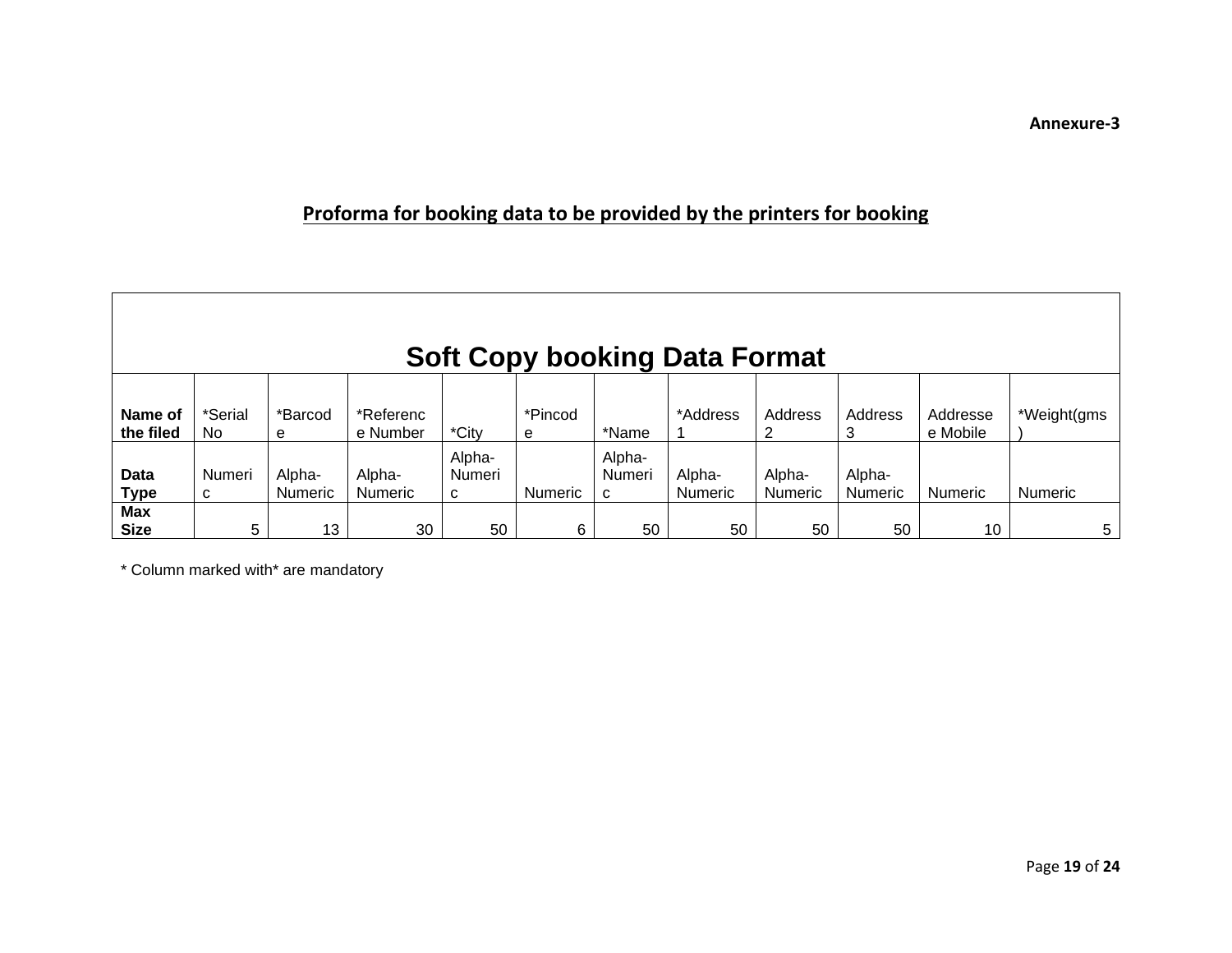## **Proforma for booking data to be provided by the printers for booking**

| <b>Soft Copy booking Data Format</b> |                |                          |                          |                       |                |                       |                          |                   |                   |                      |                |
|--------------------------------------|----------------|--------------------------|--------------------------|-----------------------|----------------|-----------------------|--------------------------|-------------------|-------------------|----------------------|----------------|
| Name of<br>the filed                 | *Serial<br>No. | *Barcod<br>е             | *Referenc<br>e Number    | *City                 | *Pincod<br>e   | *Name                 | *Address                 | Address           | Address<br>3      | Addresse<br>e Mobile | *Weight(gms    |
| Data<br><b>Type</b>                  | Numeri<br>C    | Alpha-<br><b>Numeric</b> | Alpha-<br><b>Numeric</b> | Alpha-<br>Numeri<br>C | <b>Numeric</b> | Alpha-<br>Numeri<br>C | Alpha-<br><b>Numeric</b> | Alpha-<br>Numeric | Alpha-<br>Numeric | <b>Numeric</b>       | <b>Numeric</b> |
| <b>Max</b><br><b>Size</b>            | 5              | 13                       | 30                       | 50                    | 6              | 50                    | 50                       | 50                | 50                | 10                   | 5              |

\* Column marked with\* are mandatory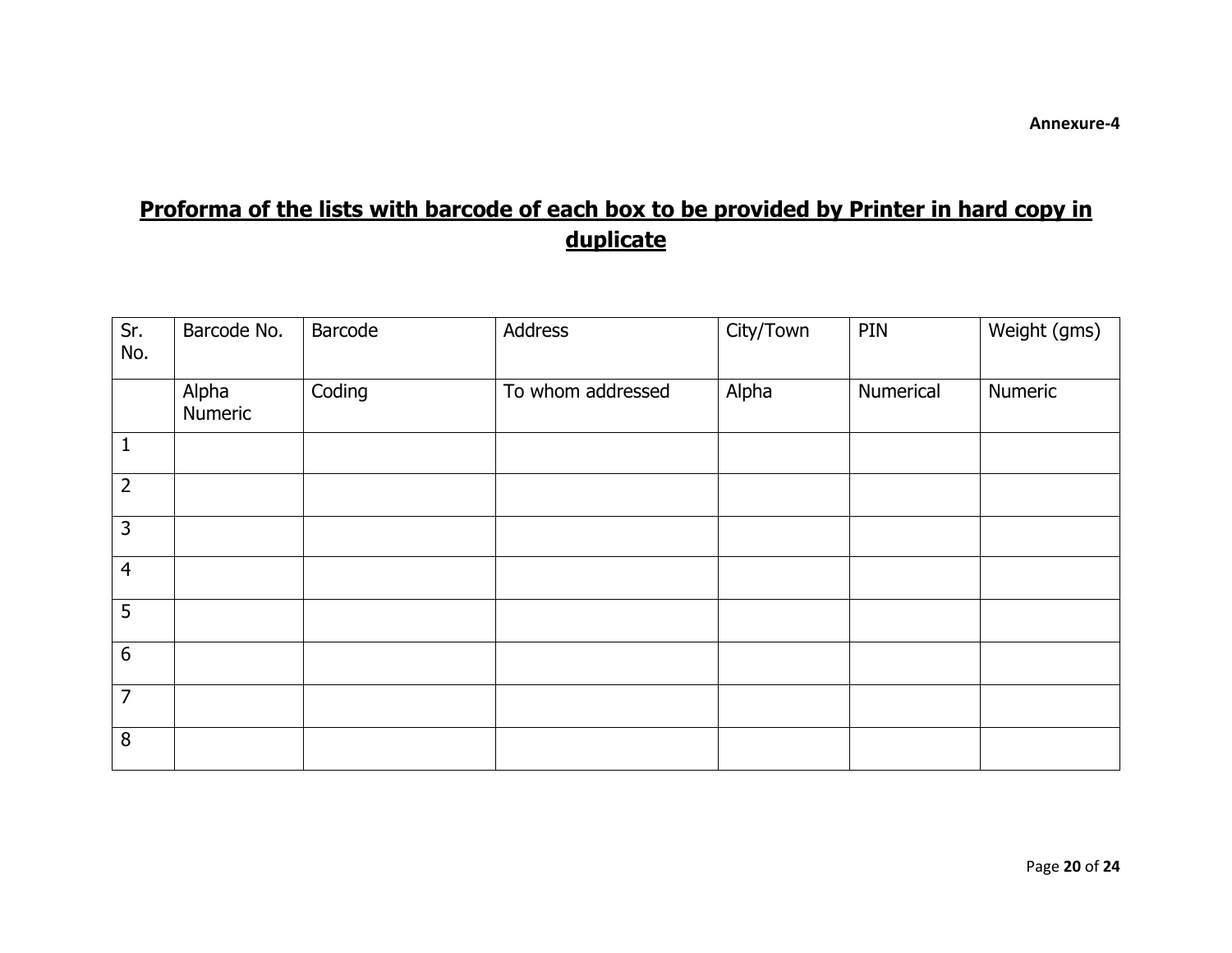## **Proforma of the lists with barcode of each box to be provided by Printer in hard copy in duplicate**

| Sr.<br>No.     | Barcode No.      | Barcode | Address           | City/Town | PIN       | Weight (gms) |
|----------------|------------------|---------|-------------------|-----------|-----------|--------------|
|                | Alpha<br>Numeric | Coding  | To whom addressed | Alpha     | Numerical | Numeric      |
| $\mathbf{1}$   |                  |         |                   |           |           |              |
| $\overline{2}$ |                  |         |                   |           |           |              |
| $\overline{3}$ |                  |         |                   |           |           |              |
| $\overline{4}$ |                  |         |                   |           |           |              |
| 5              |                  |         |                   |           |           |              |
| $6\,$          |                  |         |                   |           |           |              |
| $\overline{7}$ |                  |         |                   |           |           |              |
| $\, 8$         |                  |         |                   |           |           |              |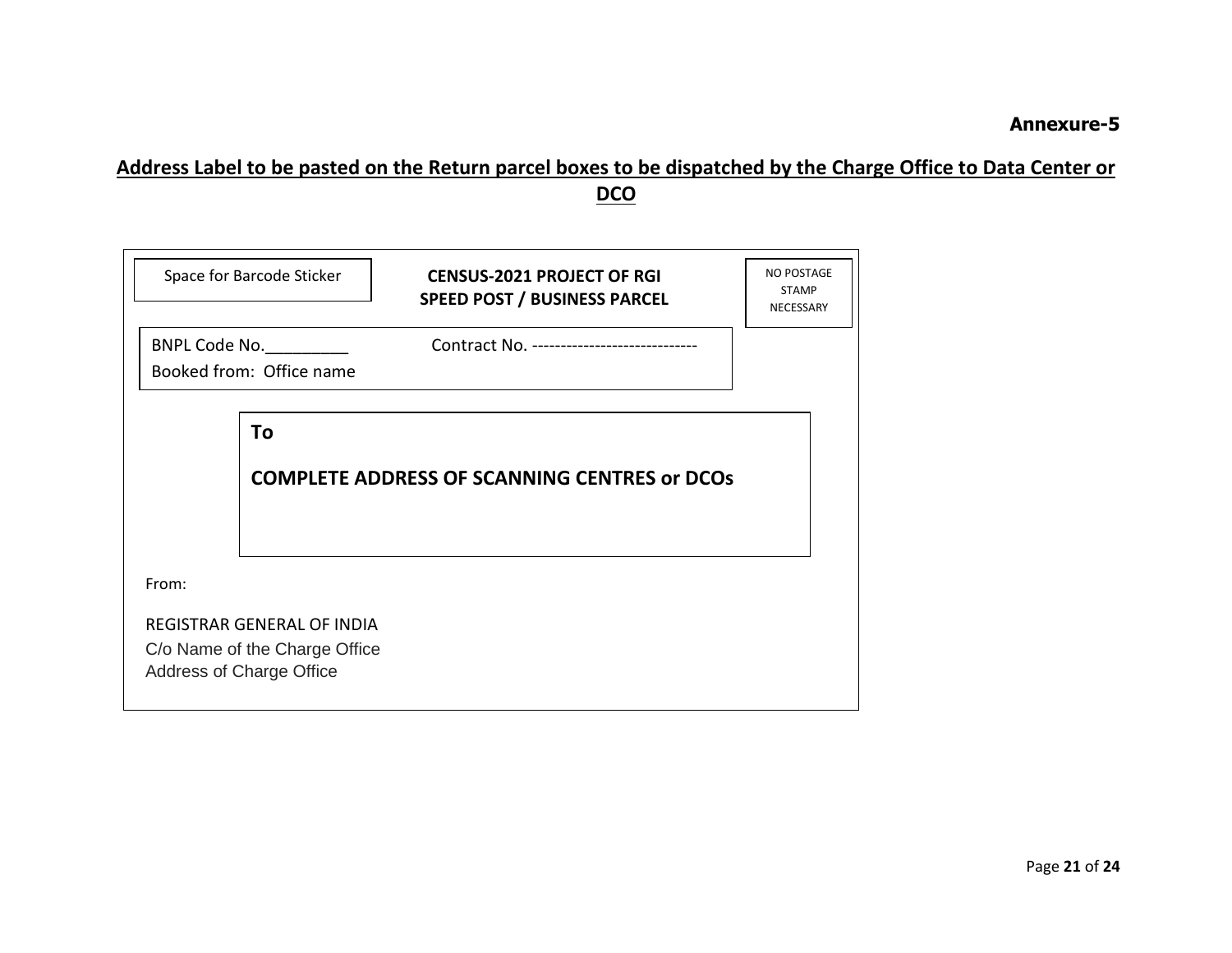### **Address Label to be pasted on the Return parcel boxes to be dispatched by the Charge Office to Data Center or DCO**

| Space for Barcode Sticker                                   |                                                     | <b>CENSUS-2021 PROJECT OF RGI</b><br><b>SPEED POST / BUSINESS PARCEL</b> | <b>NO POSTAGE</b><br><b>STAMP</b><br>NECESSARY |  |  |  |  |  |
|-------------------------------------------------------------|-----------------------------------------------------|--------------------------------------------------------------------------|------------------------------------------------|--|--|--|--|--|
|                                                             | BNPL Code No.                                       | Contract No. -----------------------------                               |                                                |  |  |  |  |  |
|                                                             | Booked from: Office name                            |                                                                          |                                                |  |  |  |  |  |
|                                                             |                                                     |                                                                          |                                                |  |  |  |  |  |
|                                                             | <b>COMPLETE ADDRESS OF SCANNING CENTRES or DCOS</b> |                                                                          |                                                |  |  |  |  |  |
|                                                             |                                                     |                                                                          |                                                |  |  |  |  |  |
| From:                                                       |                                                     |                                                                          |                                                |  |  |  |  |  |
| REGISTRAR GENERAL OF INDIA<br>C/o Name of the Charge Office |                                                     |                                                                          |                                                |  |  |  |  |  |
| Address of Charge Office                                    |                                                     |                                                                          |                                                |  |  |  |  |  |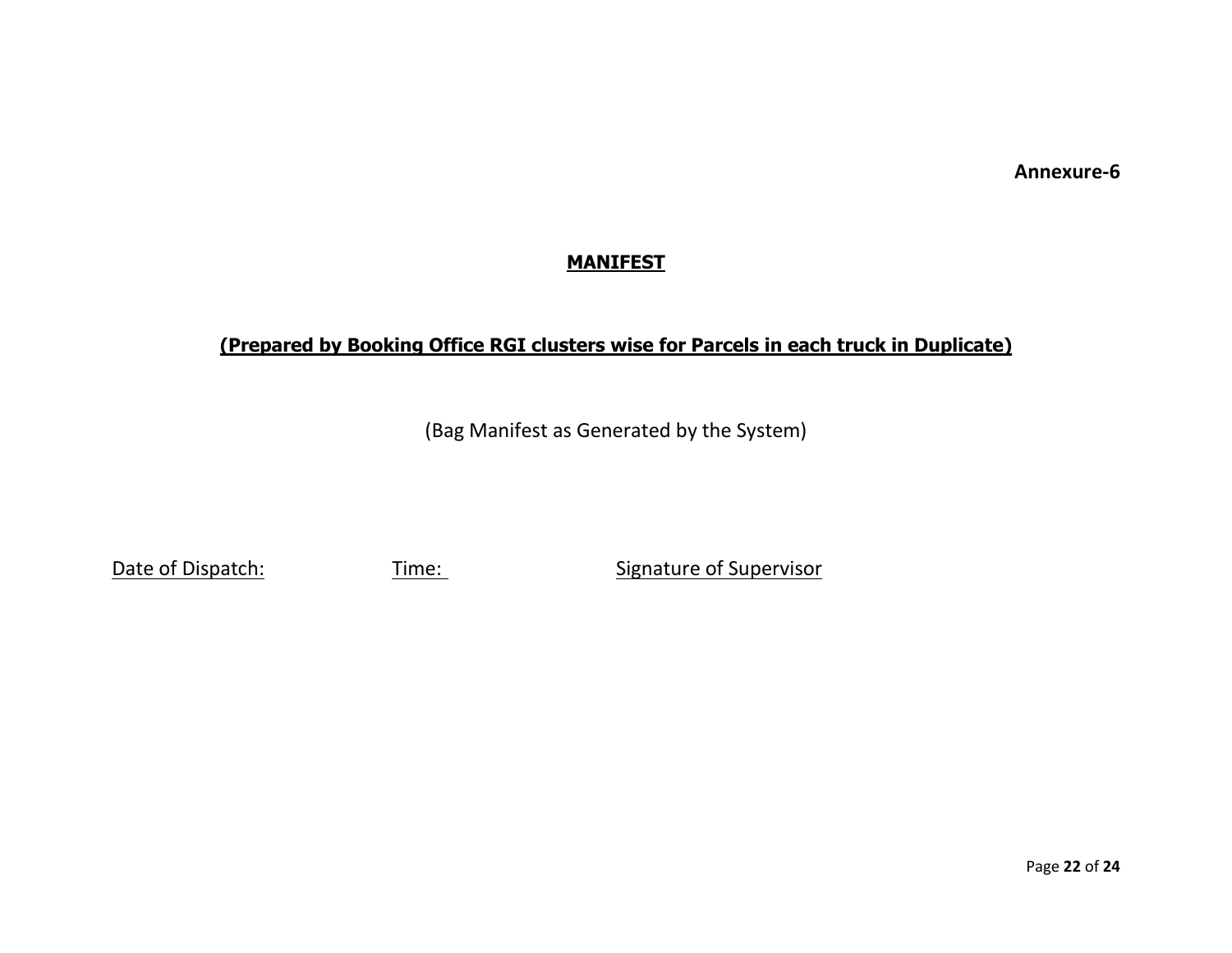#### **MANIFEST**

### **(Prepared by Booking Office RGI clusters wise for Parcels in each truck in Duplicate)**

(Bag Manifest as Generated by the System)

Date of Dispatch: Time: Time: Signature of Supervisor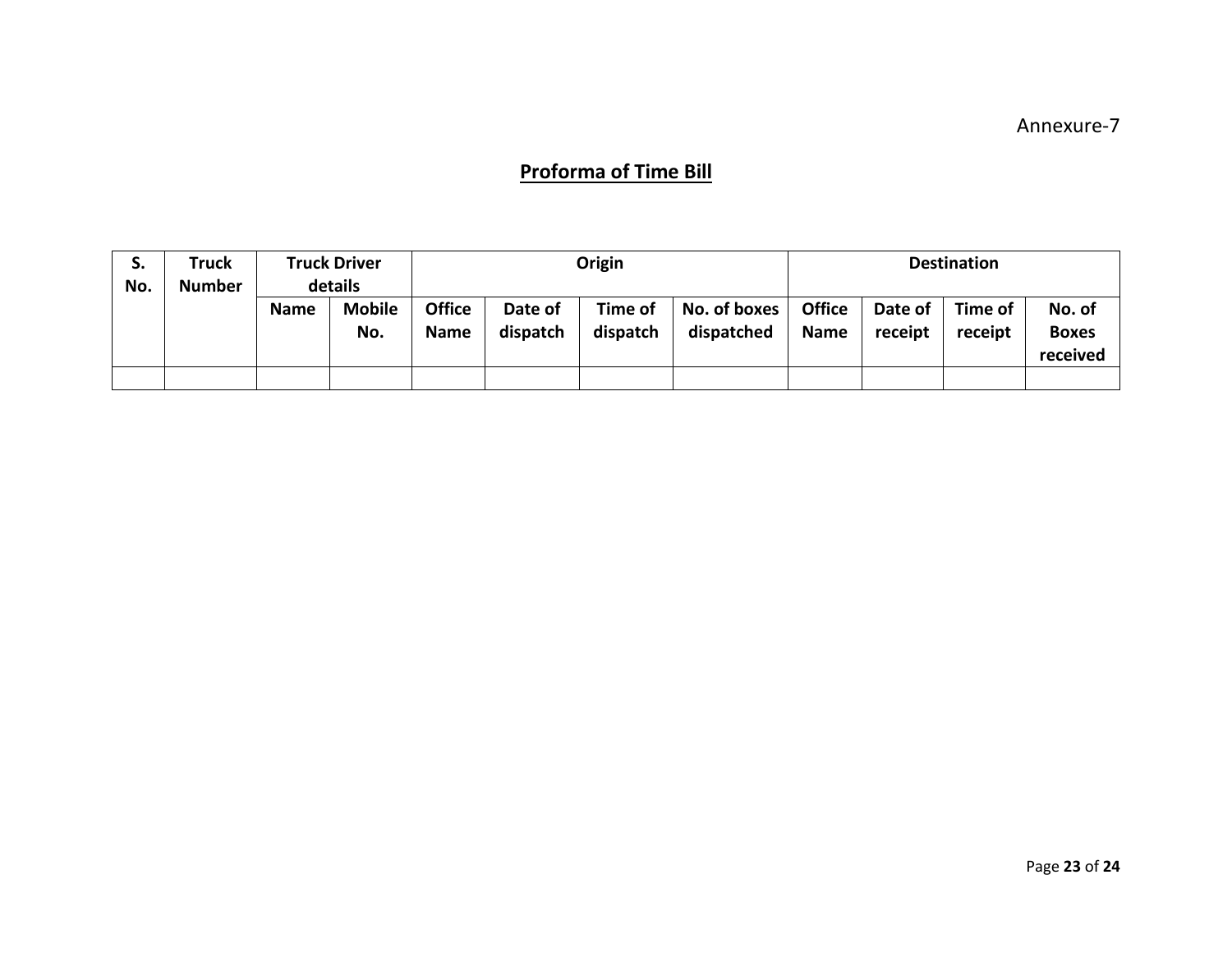### **Proforma of Time Bill**

| S.<br>No. | <b>Truck</b><br><b>Number</b> | <b>Truck Driver</b><br>details |                      |                              |                     | Origin              |                            |                              |                    | <b>Destination</b> |                                    |
|-----------|-------------------------------|--------------------------------|----------------------|------------------------------|---------------------|---------------------|----------------------------|------------------------------|--------------------|--------------------|------------------------------------|
|           |                               | <b>Name</b>                    | <b>Mobile</b><br>No. | <b>Office</b><br><b>Name</b> | Date of<br>dispatch | Time of<br>dispatch | No. of boxes<br>dispatched | <b>Office</b><br><b>Name</b> | Date of<br>receipt | Time of<br>receipt | No. of<br><b>Boxes</b><br>received |
|           |                               |                                |                      |                              |                     |                     |                            |                              |                    |                    |                                    |